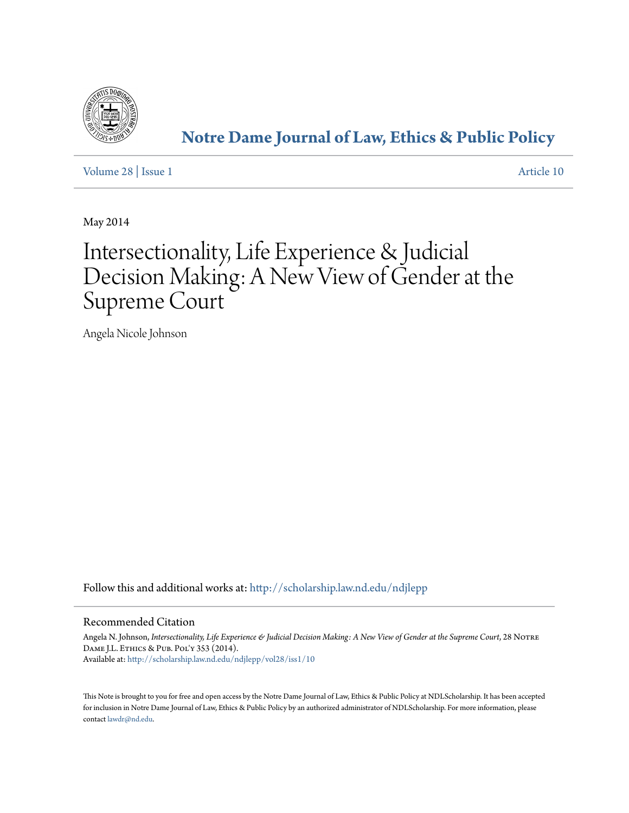

## **[Notre Dame Journal of Law, Ethics & Public Policy](http://scholarship.law.nd.edu/ndjlepp?utm_source=scholarship.law.nd.edu%2Fndjlepp%2Fvol28%2Fiss1%2F10&utm_medium=PDF&utm_campaign=PDFCoverPages)**

[Volume 28](http://scholarship.law.nd.edu/ndjlepp/vol28?utm_source=scholarship.law.nd.edu%2Fndjlepp%2Fvol28%2Fiss1%2F10&utm_medium=PDF&utm_campaign=PDFCoverPages) | [Issue 1](http://scholarship.law.nd.edu/ndjlepp/vol28/iss1?utm_source=scholarship.law.nd.edu%2Fndjlepp%2Fvol28%2Fiss1%2F10&utm_medium=PDF&utm_campaign=PDFCoverPages) [Article 10](http://scholarship.law.nd.edu/ndjlepp/vol28/iss1/10?utm_source=scholarship.law.nd.edu%2Fndjlepp%2Fvol28%2Fiss1%2F10&utm_medium=PDF&utm_campaign=PDFCoverPages)

May 2014

# Intersectionality, Life Experience & Judicial Decision Making: A New View of Gender at the Supreme Court

Angela Nicole Johnson

Follow this and additional works at: [http://scholarship.law.nd.edu/ndjlepp](http://scholarship.law.nd.edu/ndjlepp?utm_source=scholarship.law.nd.edu%2Fndjlepp%2Fvol28%2Fiss1%2F10&utm_medium=PDF&utm_campaign=PDFCoverPages)

#### Recommended Citation

Angela N. Johnson, *Intersectionality, Life Experience & Judicial Decision Making: A New View of Gender at the Supreme Court*, 28 Notre DAME J.L. ETHICS & PUB. POL'Y 353 (2014). Available at: [http://scholarship.law.nd.edu/ndjlepp/vol28/iss1/10](http://scholarship.law.nd.edu/ndjlepp/vol28/iss1/10?utm_source=scholarship.law.nd.edu%2Fndjlepp%2Fvol28%2Fiss1%2F10&utm_medium=PDF&utm_campaign=PDFCoverPages)

This Note is brought to you for free and open access by the Notre Dame Journal of Law, Ethics & Public Policy at NDLScholarship. It has been accepted for inclusion in Notre Dame Journal of Law, Ethics & Public Policy by an authorized administrator of NDLScholarship. For more information, please contact [lawdr@nd.edu.](mailto:lawdr@nd.edu)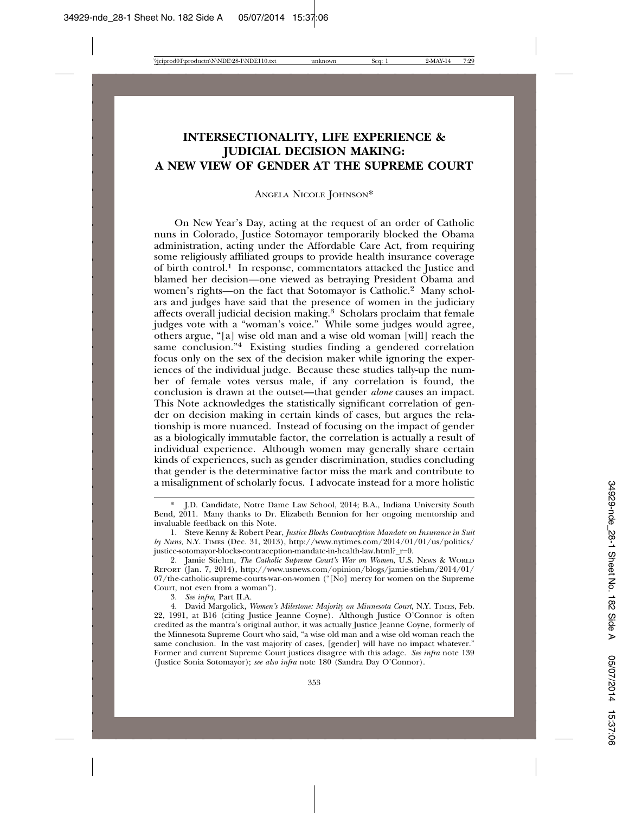### **INTERSECTIONALITY, LIFE EXPERIENCE & JUDICIAL DECISION MAKING: A NEW VIEW OF GENDER AT THE SUPREME COURT**

ANGELA NICOLE JOHNSON\*

On New Year's Day, acting at the request of an order of Catholic nuns in Colorado, Justice Sotomayor temporarily blocked the Obama administration, acting under the Affordable Care Act, from requiring some religiously affiliated groups to provide health insurance coverage of birth control.1 In response, commentators attacked the Justice and blamed her decision—one viewed as betraying President Obama and women's rights—on the fact that Sotomayor is Catholic.2 Many scholars and judges have said that the presence of women in the judiciary affects overall judicial decision making.3 Scholars proclaim that female judges vote with a "woman's voice." While some judges would agree, others argue, "[a] wise old man and a wise old woman [will] reach the same conclusion."4 Existing studies finding a gendered correlation focus only on the sex of the decision maker while ignoring the experiences of the individual judge. Because these studies tally-up the number of female votes versus male, if any correlation is found, the conclusion is drawn at the outset—that gender *alone* causes an impact. This Note acknowledges the statistically significant correlation of gender on decision making in certain kinds of cases, but argues the relationship is more nuanced. Instead of focusing on the impact of gender as a biologically immutable factor, the correlation is actually a result of individual experience. Although women may generally share certain kinds of experiences, such as gender discrimination, studies concluding that gender is the determinative factor miss the mark and contribute to a misalignment of scholarly focus. I advocate instead for a more holistic

3. *See infra,* Part II.A.

<sup>\*</sup> J.D. Candidate, Notre Dame Law School, 2014; B.A., Indiana University South Bend, 2011. Many thanks to Dr. Elizabeth Bennion for her ongoing mentorship and invaluable feedback on this Note.

<sup>1.</sup> Steve Kenny & Robert Pear, *Justice Blocks Contraception Mandate on Insurance in Suit by Nuns*, N.Y. TIMES (Dec. 31, 2013), http://www.nytimes.com/2014/01/01/us/politics/ justice-sotomayor-blocks-contraception-mandate-in-health-law.html?\_r=0.

<sup>2.</sup> Jamie Stiehm, *The Catholic Supreme Court's War on Women*, U.S. NEWS & WORLD REPORT (Jan. 7, 2014), http://www.usnews.com/opinion/blogs/jamie-stiehm/2014/01/ 07/the-catholic-supreme-courts-war-on-women ("[No] mercy for women on the Supreme Court, not even from a woman").

<sup>4.</sup> David Margolick, *Women's Milestone: Majority on Minnesota Court*, N.Y. TIMES, Feb. 22, 1991, at B16 (citing Justice Jeanne Coyne). Although Justice O'Connor is often credited as the mantra's original author, it was actually Justice Jeanne Coyne, formerly of the Minnesota Supreme Court who said, "a wise old man and a wise old woman reach the same conclusion. In the vast majority of cases, [gender] will have no impact whatever." Former and current Supreme Court justices disagree with this adage. *See infra* note 139 (Justice Sonia Sotomayor); *see also infra* note 180 (Sandra Day O'Connor).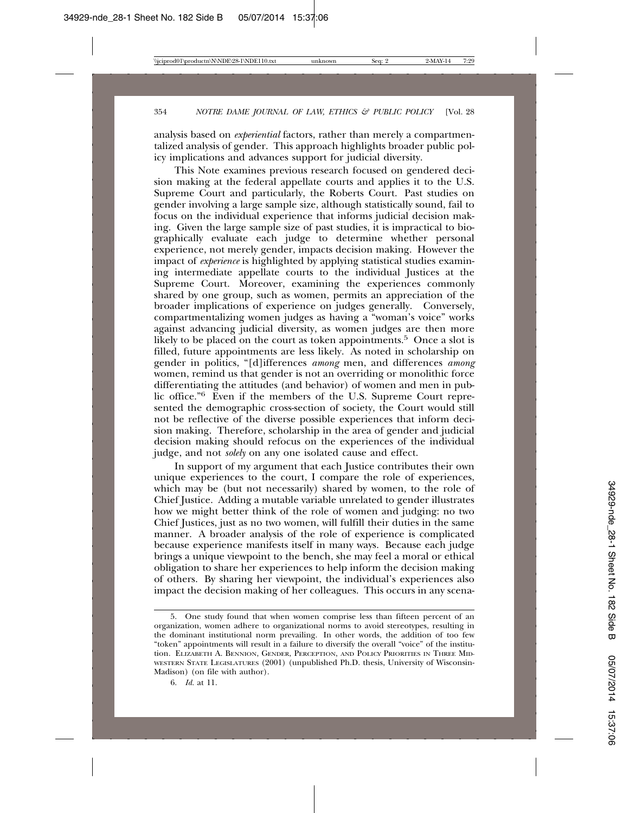analysis based on *experiential* factors, rather than merely a compartmentalized analysis of gender. This approach highlights broader public policy implications and advances support for judicial diversity.

This Note examines previous research focused on gendered decision making at the federal appellate courts and applies it to the U.S. Supreme Court and particularly, the Roberts Court. Past studies on gender involving a large sample size, although statistically sound, fail to focus on the individual experience that informs judicial decision making. Given the large sample size of past studies, it is impractical to biographically evaluate each judge to determine whether personal experience, not merely gender, impacts decision making. However the impact of *experience* is highlighted by applying statistical studies examining intermediate appellate courts to the individual Justices at the Supreme Court. Moreover, examining the experiences commonly shared by one group, such as women, permits an appreciation of the broader implications of experience on judges generally. Conversely, compartmentalizing women judges as having a "woman's voice" works against advancing judicial diversity, as women judges are then more likely to be placed on the court as token appointments.<sup>5</sup> Once a slot is filled, future appointments are less likely. As noted in scholarship on gender in politics, "[d]ifferences *among* men, and differences *among* women, remind us that gender is not an overriding or monolithic force differentiating the attitudes (and behavior) of women and men in public office."6 Even if the members of the U.S. Supreme Court represented the demographic cross-section of society, the Court would still not be reflective of the diverse possible experiences that inform decision making. Therefore, scholarship in the area of gender and judicial decision making should refocus on the experiences of the individual judge, and not *solely* on any one isolated cause and effect.

In support of my argument that each Justice contributes their own unique experiences to the court, I compare the role of experiences, which may be (but not necessarily) shared by women, to the role of Chief Justice. Adding a mutable variable unrelated to gender illustrates how we might better think of the role of women and judging: no two Chief Justices, just as no two women, will fulfill their duties in the same manner. A broader analysis of the role of experience is complicated because experience manifests itself in many ways. Because each judge brings a unique viewpoint to the bench, she may feel a moral or ethical obligation to share her experiences to help inform the decision making of others. By sharing her viewpoint, the individual's experiences also impact the decision making of her colleagues. This occurs in any scena-

<sup>5.</sup> One study found that when women comprise less than fifteen percent of an organization, women adhere to organizational norms to avoid stereotypes, resulting in the dominant institutional norm prevailing. In other words, the addition of too few "token" appointments will result in a failure to diversify the overall "voice" of the institution. ELIZABETH A. BENNION, GENDER, PERCEPTION, AND POLICY PRIORITIES IN THREE MID-WESTERN STATE LEGISLATURES (2001) (unpublished Ph.D. thesis, University of Wisconsin-Madison) (on file with author).

<sup>6.</sup> *Id.* at 11.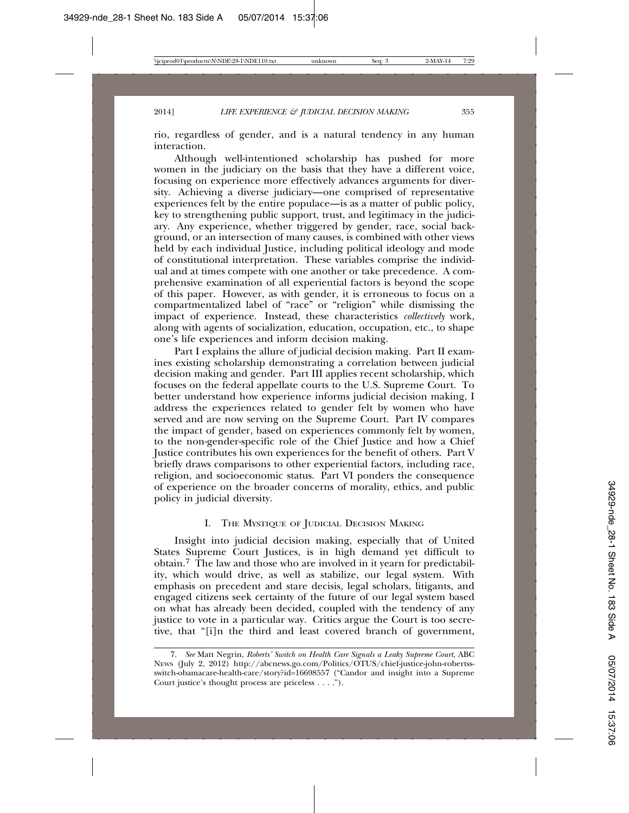rio, regardless of gender, and is a natural tendency in any human interaction.

Although well-intentioned scholarship has pushed for more women in the judiciary on the basis that they have a different voice, focusing on experience more effectively advances arguments for diversity. Achieving a diverse judiciary—one comprised of representative experiences felt by the entire populace—is as a matter of public policy, key to strengthening public support, trust, and legitimacy in the judiciary. Any experience, whether triggered by gender, race, social background, or an intersection of many causes, is combined with other views held by each individual Justice, including political ideology and mode of constitutional interpretation. These variables comprise the individual and at times compete with one another or take precedence. A comprehensive examination of all experiential factors is beyond the scope of this paper. However, as with gender, it is erroneous to focus on a compartmentalized label of "race" or "religion" while dismissing the impact of experience. Instead, these characteristics *collectively* work, along with agents of socialization, education, occupation, etc., to shape one's life experiences and inform decision making.

Part I explains the allure of judicial decision making. Part II examines existing scholarship demonstrating a correlation between judicial decision making and gender. Part III applies recent scholarship, which focuses on the federal appellate courts to the U.S. Supreme Court. To better understand how experience informs judicial decision making, I address the experiences related to gender felt by women who have served and are now serving on the Supreme Court. Part IV compares the impact of gender, based on experiences commonly felt by women, to the non-gender-specific role of the Chief Justice and how a Chief Justice contributes his own experiences for the benefit of others. Part V briefly draws comparisons to other experiential factors, including race, religion, and socioeconomic status. Part VI ponders the consequence of experience on the broader concerns of morality, ethics, and public policy in judicial diversity.

#### I. THE MYSTIQUE OF JUDICIAL DECISION MAKING

Insight into judicial decision making, especially that of United States Supreme Court Justices, is in high demand yet difficult to obtain.7 The law and those who are involved in it yearn for predictability, which would drive, as well as stabilize, our legal system. With emphasis on precedent and stare decisis, legal scholars, litigants, and engaged citizens seek certainty of the future of our legal system based on what has already been decided, coupled with the tendency of any justice to vote in a particular way. Critics argue the Court is too secretive, that "[i]n the third and least covered branch of government,

<sup>7.</sup> *See* Matt Negrin, *Roberts' Switch on Health Care Signals a Leaky Supreme Court*, ABC NEWS (July 2, 2012) http://abcnews.go.com/Politics/OTUS/chief-justice-john-robertssswitch-obamacare-health-care/story?id=16698557 ("Candor and insight into a Supreme Court justice's thought process are priceless . . . .").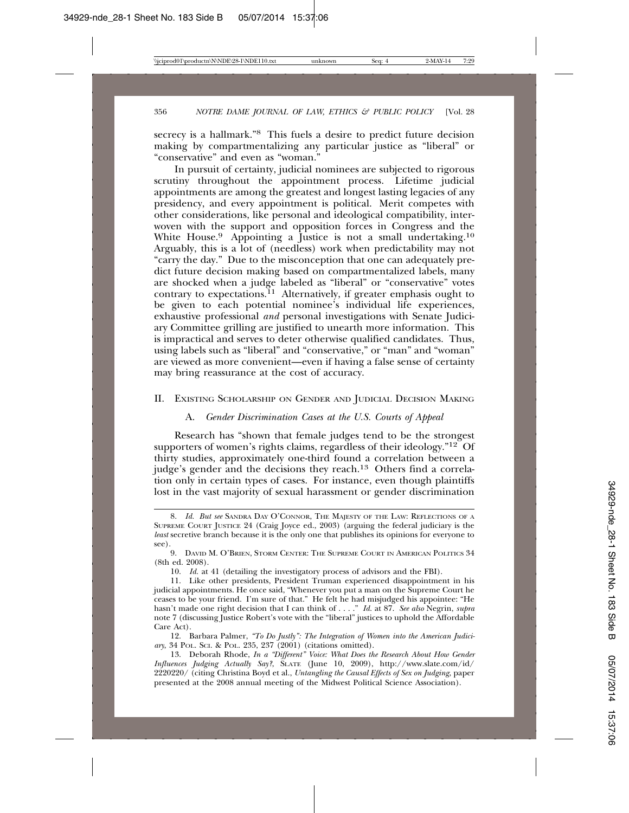secrecy is a hallmark."8 This fuels a desire to predict future decision making by compartmentalizing any particular justice as "liberal" or "conservative" and even as "woman."

In pursuit of certainty, judicial nominees are subjected to rigorous scrutiny throughout the appointment process. Lifetime judicial appointments are among the greatest and longest lasting legacies of any presidency, and every appointment is political. Merit competes with other considerations, like personal and ideological compatibility, interwoven with the support and opposition forces in Congress and the White House.<sup>9</sup> Appointing a Justice is not a small undertaking.<sup>10</sup> Arguably, this is a lot of (needless) work when predictability may not "carry the day." Due to the misconception that one can adequately predict future decision making based on compartmentalized labels, many are shocked when a judge labeled as "liberal" or "conservative" votes contrary to expectations.<sup>11</sup> Alternatively, if greater emphasis ought to be given to each potential nominee's individual life experiences, exhaustive professional *and* personal investigations with Senate Judiciary Committee grilling are justified to unearth more information. This is impractical and serves to deter otherwise qualified candidates. Thus, using labels such as "liberal" and "conservative," or "man" and "woman" are viewed as more convenient—even if having a false sense of certainty may bring reassurance at the cost of accuracy.

#### II. EXISTING SCHOLARSHIP ON GENDER AND JUDICIAL DECISION MAKING

#### A. *Gender Discrimination Cases at the U.S. Courts of Appeal*

Research has "shown that female judges tend to be the strongest supporters of women's rights claims, regardless of their ideology." $12^{\circ}$  Of thirty studies, approximately one-third found a correlation between a judge's gender and the decisions they reach.13 Others find a correlation only in certain types of cases. For instance, even though plaintiffs lost in the vast majority of sexual harassment or gender discrimination

<sup>8.</sup> *Id. But see* SANDRA DAY O'CONNOR, THE MAJESTY OF THE LAW: REFLECTIONS OF A SUPREME COURT JUSTICE 24 (Craig Joyce ed., 2003) (arguing the federal judiciary is the *least* secretive branch because it is the only one that publishes its opinions for everyone to see).

<sup>9.</sup> DAVID M. O'BRIEN, STORM CENTER: THE SUPREME COURT IN AMERICAN POLITICS 34 (8th ed. 2008).

<sup>10.</sup> *Id.* at 41 (detailing the investigatory process of advisors and the FBI).

<sup>11.</sup> Like other presidents, President Truman experienced disappointment in his judicial appointments. He once said, "Whenever you put a man on the Supreme Court he ceases to be your friend. I'm sure of that." He felt he had misjudged his appointee: "He hasn't made one right decision that I can think of . . . ." *Id.* at 87. *See also* Negrin, *supra* note 7 (discussing Justice Robert's vote with the "liberal" justices to uphold the Affordable Care Act).

<sup>12.</sup> Barbara Palmer, *"To Do Justly": The Integration of Women into the American Judiciary*, 34 POL. SCI. & POL. 235, 237 (2001) (citations omitted).

<sup>13.</sup> Deborah Rhode, *In a "Different" Voice: What Does the Research About How Gender Influences Judging Actually Say?*, SLATE (June 10, 2009), http://www.slate.com/id/ 2220220/ (citing Christina Boyd et al., *Untangling the Causal Effects of Sex on Judging*, paper presented at the 2008 annual meeting of the Midwest Political Science Association).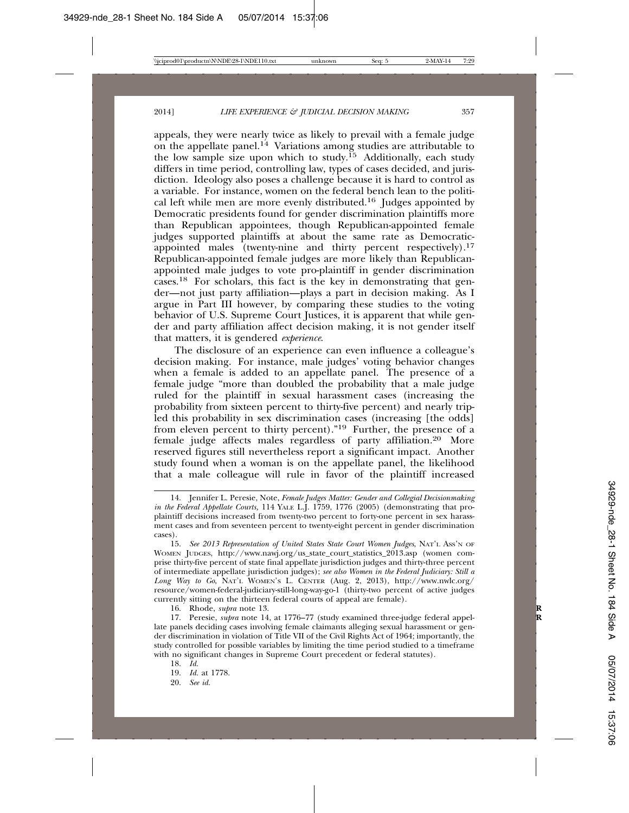appeals, they were nearly twice as likely to prevail with a female judge on the appellate panel.<sup>14</sup> Variations among studies are attributable to the low sample size upon which to study.<sup>15</sup> Additionally, each study differs in time period, controlling law, types of cases decided, and jurisdiction. Ideology also poses a challenge because it is hard to control as a variable. For instance, women on the federal bench lean to the political left while men are more evenly distributed.<sup>16</sup> Judges appointed by Democratic presidents found for gender discrimination plaintiffs more than Republican appointees, though Republican-appointed female judges supported plaintiffs at about the same rate as Democraticappointed males (twenty-nine and thirty percent respectively).<sup>17</sup> Republican-appointed female judges are more likely than Republicanappointed male judges to vote pro-plaintiff in gender discrimination cases.18 For scholars, this fact is the key in demonstrating that gender—not just party affiliation—plays a part in decision making. As I argue in Part III however, by comparing these studies to the voting behavior of U.S. Supreme Court Justices, it is apparent that while gender and party affiliation affect decision making, it is not gender itself that matters, it is gendered *experience*.

The disclosure of an experience can even influence a colleague's decision making. For instance, male judges' voting behavior changes when a female is added to an appellate panel. The presence of a female judge "more than doubled the probability that a male judge ruled for the plaintiff in sexual harassment cases (increasing the probability from sixteen percent to thirty-five percent) and nearly tripled this probability in sex discrimination cases (increasing [the odds] from eleven percent to thirty percent)."19 Further, the presence of a female judge affects males regardless of party affiliation.20 More reserved figures still nevertheless report a significant impact. Another study found when a woman is on the appellate panel, the likelihood that a male colleague will rule in favor of the plaintiff increased

16. Rhode, *supra* note 13. **R**

<sup>14.</sup> Jennifer L. Peresie, Note, *Female Judges Matter: Gender and Collegial Decisionmaking in the Federal Appellate Courts,* 114 YALE L.J. 1759, 1776 (2005) (demonstrating that proplaintiff decisions increased from twenty-two percent to forty-one percent in sex harassment cases and from seventeen percent to twenty-eight percent in gender discrimination cases).

<sup>15.</sup> *See 2013 Representation of United States State Court Women Judges*, NAT'L ASS'N OF WOMEN JUDGES, http://www.nawj.org/us\_state\_court\_statistics\_2013.asp (women comprise thirty-five percent of state final appellate jurisdiction judges and thirty-three percent of intermediate appellate jurisdiction judges); *see also Women in the Federal Judiciary: Still a Long Way to Go*, NAT'L WOMEN'S L. CENTER (Aug. 2, 2013), http://www.nwlc.org/ resource/women-federal-judiciary-still-long-way-go-1 (thirty-two percent of active judges currently sitting on the thirteen federal courts of appeal are female).

<sup>17.</sup> Peresie, *supra* note 14, at 1776–77 (study examined three-judge federal appellate panels deciding cases involving female claimants alleging sexual harassment or gender discrimination in violation of Title VII of the Civil Rights Act of 1964; importantly, the study controlled for possible variables by limiting the time period studied to a timeframe with no significant changes in Supreme Court precedent or federal statutes).

<sup>18.</sup> *Id.*

<sup>19.</sup> *Id.* at 1778.

<sup>20.</sup> *See id.*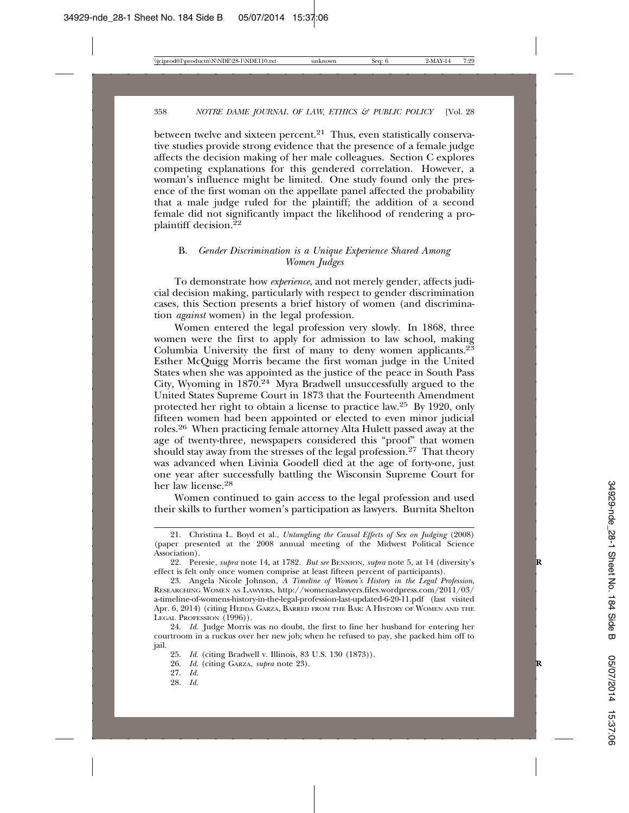between twelve and sixteen percent.<sup>21</sup> Thus, even statistically conservative studies provide strong evidence that the presence of a female judge affects the decision making of her male colleagues. Section C explores competing explanations for this gendered correlation. However, a woman's influence might be limited. One study found only the presence of the first woman on the appellate panel affected the probability that a male judge ruled for the plaintiff; the addition of a second female did not significantly impact the likelihood of rendering a proplaintiff decision.<sup>22</sup>

#### B. *Gender Discrimination is a Unique Experience Shared Among Women Judges*

To demonstrate how *experience*, and not merely gender, affects judicial decision making, particularly with respect to gender discrimination cases, this Section presents a brief history of women (and discrimination *against* women) in the legal profession.

Women entered the legal profession very slowly. In 1868, three women were the first to apply for admission to law school, making Columbia University the first of many to deny women applicants. $2^{\overline{3}}$ Esther McQuigg Morris became the first woman judge in the United States when she was appointed as the justice of the peace in South Pass City, Wyoming in 1870.24 Myra Bradwell unsuccessfully argued to the United States Supreme Court in 1873 that the Fourteenth Amendment protected her right to obtain a license to practice law.25 By 1920, only fifteen women had been appointed or elected to even minor judicial roles.26 When practicing female attorney Alta Hulett passed away at the age of twenty-three, newspapers considered this "proof" that women should stay away from the stresses of the legal profession.<sup>27</sup> That theory was advanced when Livinia Goodell died at the age of forty-one, just one year after successfully battling the Wisconsin Supreme Court for her law license.28

Women continued to gain access to the legal profession and used their skills to further women's participation as lawyers. Burnita Shelton

<sup>21.</sup> Christina L. Boyd et al., *Untangling the Causal Effects of Sex on Judging* (2008) (paper presented at the 2008 annual meeting of the Midwest Political Science Association).

<sup>22.</sup> Peresie, *supra* note 14, at 1782. *But see* BENNION, *supra* note 5, at 14 (diversity's **R** effect is felt only once women comprise at least fifteen percent of participants).

<sup>23.</sup> Angela Nicole Johnson, *A Timeline of Women's History in the Legal Profession*, RESEARCHING WOMEN AS LAWYERS, http://womenaslawyers.files.wordpress.com/2011/03/ a-timeline-of-womens-history-in-the-legal-profession-last-updated-6-20-11.pdf (last visited Apr. 6, 2014) (citing HEDDA GARZA, BARRED FROM THE BAR: A HISTORY OF WOMEN AND THE LEGAL PROFESSION (1996)).

<sup>24.</sup> *Id.* Judge Morris was no doubt, the first to fine her husband for entering her courtroom in a ruckus over her new job; when he refused to pay, she packed him off to jail.

<sup>25.</sup> *Id.* (citing Bradwell v. Illinois, 83 U.S. 130 (1873)).

<sup>26.</sup> *Id.* (citing GARZA, *supra* note 23). **R**

<sup>27.</sup> *Id.*

<sup>28.</sup> *Id.*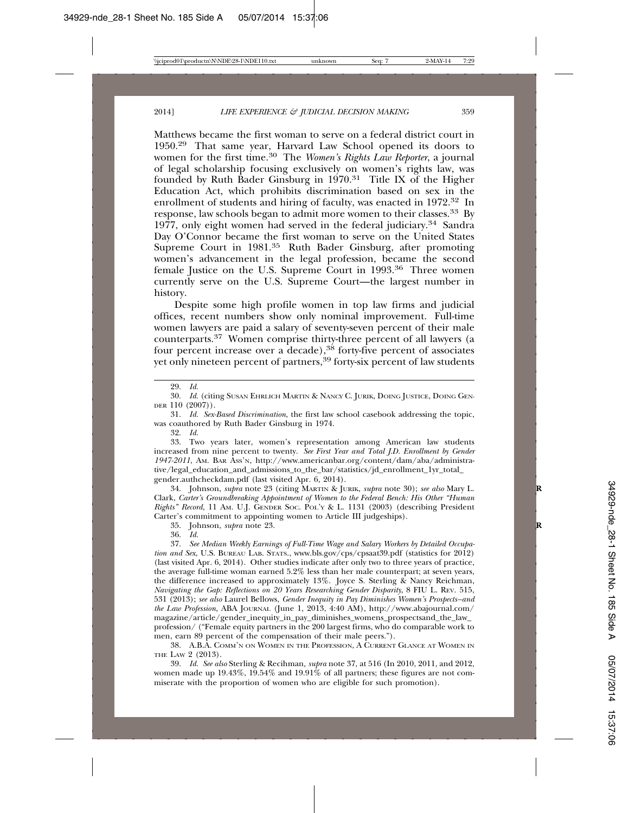Matthews became the first woman to serve on a federal district court in 1950.29 That same year, Harvard Law School opened its doors to women for the first time.30 The *Women's Rights Law Reporter*, a journal of legal scholarship focusing exclusively on women's rights law, was founded by Ruth Bader Ginsburg in  $1970.^{31}$  Title IX of the Higher Education Act, which prohibits discrimination based on sex in the enrollment of students and hiring of faculty, was enacted in 1972<sup>32</sup> In response, law schools began to admit more women to their classes.33 By 1977, only eight women had served in the federal judiciary.34 Sandra Day O'Connor became the first woman to serve on the United States Supreme Court in 1981.35 Ruth Bader Ginsburg, after promoting women's advancement in the legal profession, became the second female Justice on the U.S. Supreme Court in 1993.36 Three women currently serve on the U.S. Supreme Court—the largest number in history.

Despite some high profile women in top law firms and judicial offices, recent numbers show only nominal improvement. Full-time women lawyers are paid a salary of seventy-seven percent of their male counterparts.37 Women comprise thirty-three percent of all lawyers (a four percent increase over a decade),  $38$  forty-five percent of associates yet only nineteen percent of partners,<sup>39</sup> forty-six percent of law students

29. *Id.*

30. *Id.* (citing SUSAN EHRLICH MARTIN & NANCY C. JURIK, DOING JUSTICE, DOING GEN-DER 110 (2007)).

31. *Id. Sex-Based Discrimination*, the first law school casebook addressing the topic, was coauthored by Ruth Bader Ginsburg in 1974.

32. *Id.*

33. Two years later, women's representation among American law students increased from nine percent to twenty. *See First Year and Total J.D. Enrollment by Gender 1947-2011*, AM. BAR ASS'N, http://www.americanbar.org/content/dam/aba/administrative/legal\_education\_and\_admissions\_to\_the\_bar/statistics/jd\_enrollment\_1yr\_total gender.authcheckdam.pdf (last visited Apr. 6, 2014).

34. Johnson, *supra* note 23 (citing MARTIN & JURIK, *supra* note 30); *see also* Mary L. **R** Clark, *Carter's Groundbreaking Appointment of Women to the Federal Bench: His Other "Human Rights" Record*, 11 AM. U.J. GENDER SOC. POL'Y & L. 1131 (2003) (describing President Carter's commitment to appointing women to Article III judgeships).

35. Johnson, *supra* note 23. **R**

36. *Id.*

37. *See Median Weekly Earnings of Full-Time Wage and Salary Workers by Detailed Occupation and Sex*, U.S. BUREAU LAB. STATS., www.bls.gov/cps/cpsaat39.pdf (statistics for 2012) (last visited Apr. 6, 2014). Other studies indicate after only two to three years of practice, the average full-time woman earned 5.2% less than her male counterpart; at seven years, the difference increased to approximately 13%. Joyce S. Sterling & Nancy Reichman, *Navigating the Gap: Reflections on 20 Years Researching Gender Disparity*, 8 FIU L. REV. 515, 531 (2013); *see also* Laurel Bellows, *Gender Inequity in Pay Diminishes Women's Prospects–and the Law Profession*, ABA JOURNAL (June 1, 2013, 4:40 AM), http://www.abajournal.com/ magazine/article/gender\_inequity\_in\_pay\_diminishes\_womens\_prospectsand\_the\_law\_ profession/ ("Female equity partners in the 200 largest firms, who do comparable work to men, earn 89 percent of the compensation of their male peers.").

38. A.B.A. COMM'N ON WOMEN IN THE PROFESSION, A CURRENT GLANCE AT WOMEN IN THE LAW 2 (2013).

39. *Id. See also* Sterling & Recihman*, supra* note 37, at 516 (In 2010, 2011, and 2012, women made up 19.43%, 19.54% and 19.91% of all partners; these figures are not commiserate with the proportion of women who are eligible for such promotion).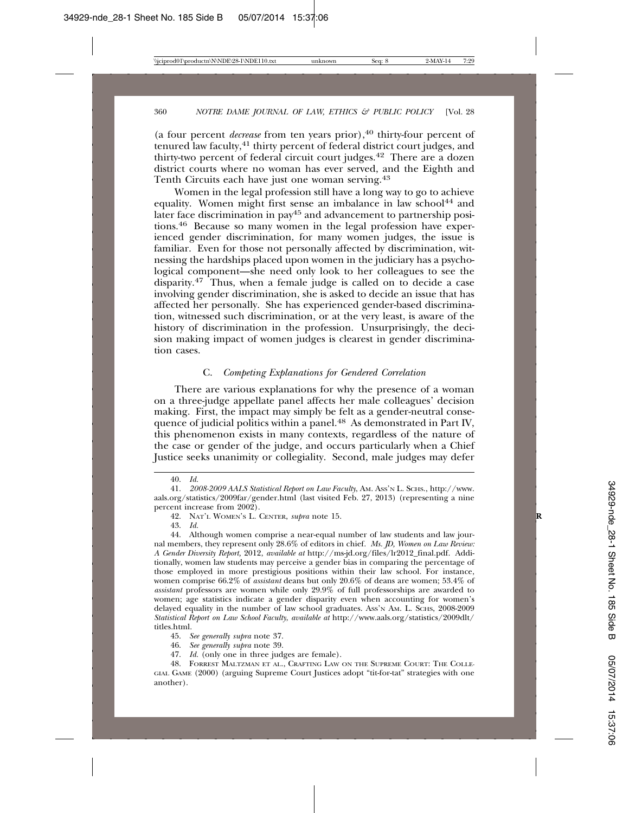(a four percent *decrease* from ten years prior),<sup>40</sup> thirty-four percent of tenured law faculty,41 thirty percent of federal district court judges, and thirty-two percent of federal circuit court judges.42 There are a dozen district courts where no woman has ever served, and the Eighth and Tenth Circuits each have just one woman serving.<sup>43</sup>

Women in the legal profession still have a long way to go to achieve equality. Women might first sense an imbalance in law school<sup>44</sup> and later face discrimination in pay<sup>45</sup> and advancement to partnership positions.46 Because so many women in the legal profession have experienced gender discrimination, for many women judges, the issue is familiar. Even for those not personally affected by discrimination, witnessing the hardships placed upon women in the judiciary has a psychological component—she need only look to her colleagues to see the disparity.47 Thus, when a female judge is called on to decide a case involving gender discrimination, she is asked to decide an issue that has affected her personally. She has experienced gender-based discrimination, witnessed such discrimination, or at the very least, is aware of the history of discrimination in the profession. Unsurprisingly, the decision making impact of women judges is clearest in gender discrimination cases.

#### C. *Competing Explanations for Gendered Correlation*

There are various explanations for why the presence of a woman on a three-judge appellate panel affects her male colleagues' decision making. First, the impact may simply be felt as a gender-neutral consequence of judicial politics within a panel.<sup>48</sup> As demonstrated in Part IV, this phenomenon exists in many contexts, regardless of the nature of the case or gender of the judge, and occurs particularly when a Chief Justice seeks unanimity or collegiality. Second, male judges may defer

47. *Id.* (only one in three judges are female).

<sup>40.</sup> *Id.*

<sup>41.</sup> *2008-2009 AALS Statistical Report on Law Faculty*, AM. ASS'N L. SCHS., http://www. aals.org/statistics/2009far/gender.html (last visited Feb. 27, 2013) (representing a nine percent increase from 2002).

<sup>42.</sup> NAT'L WOMEN'S L. CENTER, *supra* note 15. **R**

<sup>43.</sup> *Id.*

<sup>44.</sup> Although women comprise a near-equal number of law students and law journal members, they represent only 28.6% of editors in chief. *Ms. JD, Women on Law Review: A Gender Diversity Report,* 2012, *available at* http://ms-jd.org/files/lr2012\_final.pdf. Additionally, women law students may perceive a gender bias in comparing the percentage of those employed in more prestigious positions within their law school. For instance, women comprise 66.2% of *assistant* deans but only 20.6% of deans are women; 53.4% of *assistant* professors are women while only 29.9% of full professorships are awarded to women; age statistics indicate a gender disparity even when accounting for women's delayed equality in the number of law school graduates. Ass'n AM. L. SCHS, 2008-2009 *Statistical Report on Law School Faculty*, *available at* http://www.aals.org/statistics/2009dlt/ titles.html.

<sup>45.</sup> *See generally supra* note 37.

<sup>46.</sup> *See generally supra* note 39.

<sup>48.</sup> FORREST MALTZMAN ET AL., CRAFTING LAW ON THE SUPREME COURT: THE COLLE-GIAL GAME (2000) (arguing Supreme Court Justices adopt "tit-for-tat" strategies with one another).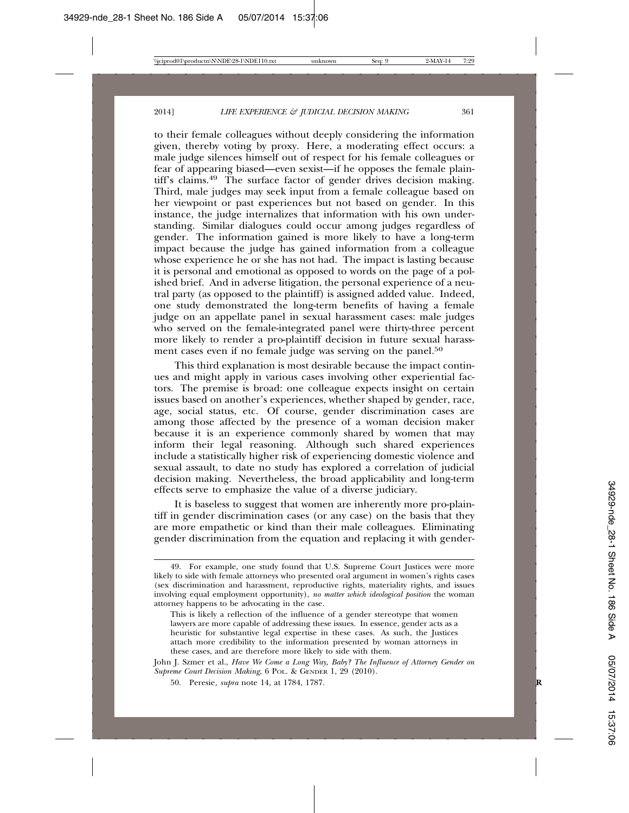to their female colleagues without deeply considering the information given, thereby voting by proxy. Here, a moderating effect occurs: a male judge silences himself out of respect for his female colleagues or fear of appearing biased—even sexist—if he opposes the female plaintiff's claims.<sup>49</sup> The surface factor of gender drives decision making. Third, male judges may seek input from a female colleague based on her viewpoint or past experiences but not based on gender. In this instance, the judge internalizes that information with his own understanding. Similar dialogues could occur among judges regardless of gender. The information gained is more likely to have a long-term impact because the judge has gained information from a colleague whose experience he or she has not had. The impact is lasting because it is personal and emotional as opposed to words on the page of a polished brief. And in adverse litigation, the personal experience of a neutral party (as opposed to the plaintiff) is assigned added value. Indeed, one study demonstrated the long-term benefits of having a female judge on an appellate panel in sexual harassment cases: male judges who served on the female-integrated panel were thirty-three percent more likely to render a pro-plaintiff decision in future sexual harassment cases even if no female judge was serving on the panel.<sup>50</sup>

This third explanation is most desirable because the impact continues and might apply in various cases involving other experiential factors. The premise is broad: one colleague expects insight on certain issues based on another's experiences, whether shaped by gender, race, age, social status, etc. Of course, gender discrimination cases are among those affected by the presence of a woman decision maker because it is an experience commonly shared by women that may inform their legal reasoning. Although such shared experiences include a statistically higher risk of experiencing domestic violence and sexual assault, to date no study has explored a correlation of judicial decision making. Nevertheless, the broad applicability and long-term effects serve to emphasize the value of a diverse judiciary.

It is baseless to suggest that women are inherently more pro-plaintiff in gender discrimination cases (or any case) on the basis that they are more empathetic or kind than their male colleagues. Eliminating gender discrimination from the equation and replacing it with gender-

<sup>49.</sup> For example, one study found that U.S. Supreme Court Justices were more likely to side with female attorneys who presented oral argument in women's rights cases (sex discrimination and harassment, reproductive rights, materiality rights, and issues involving equal employment opportunity), *no matter which ideological position* the woman attorney happens to be advocating in the case.

This is likely a reflection of the influence of a gender stereotype that women lawyers are more capable of addressing these issues. In essence, gender acts as a heuristic for substantive legal expertise in these cases. As such, the Justices attach more credibility to the information presented by woman attorneys in these cases, and are therefore more likely to side with them.

John J. Szmer et al., *Have We Come a Long Way, Baby? The Influence of Attorney Gender on Supreme Court Decision Making*, 6 POL. & GENDER 1, 29 (2010).

<sup>50.</sup> Peresie*, supra* note 14, at 1784, 1787. **R**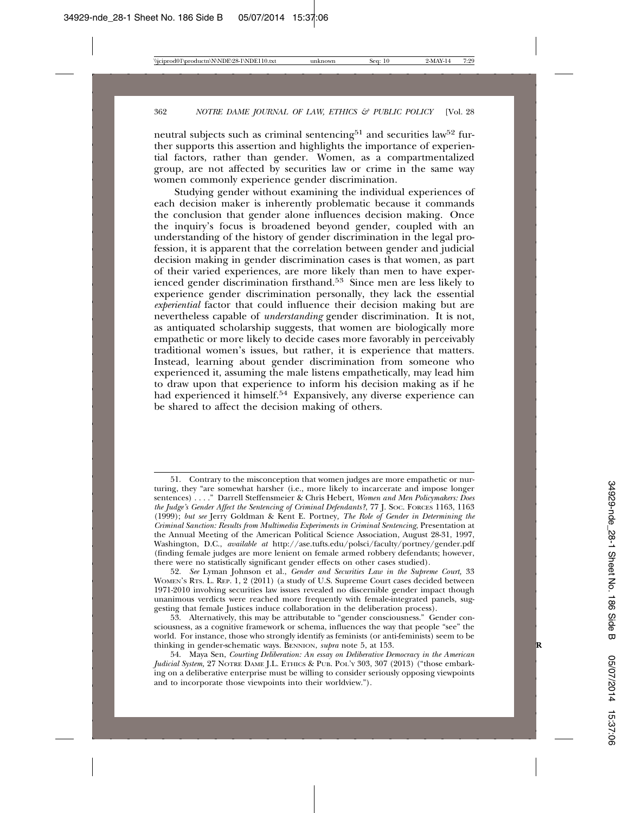neutral subjects such as criminal sentencing<sup>51</sup> and securities law<sup>52</sup> further supports this assertion and highlights the importance of experiential factors, rather than gender. Women, as a compartmentalized group, are not affected by securities law or crime in the same way women commonly experience gender discrimination.

Studying gender without examining the individual experiences of each decision maker is inherently problematic because it commands the conclusion that gender alone influences decision making. Once the inquiry's focus is broadened beyond gender, coupled with an understanding of the history of gender discrimination in the legal profession, it is apparent that the correlation between gender and judicial decision making in gender discrimination cases is that women, as part of their varied experiences, are more likely than men to have experienced gender discrimination firsthand.53 Since men are less likely to experience gender discrimination personally, they lack the essential *experiential* factor that could influence their decision making but are nevertheless capable of *understanding* gender discrimination. It is not, as antiquated scholarship suggests, that women are biologically more empathetic or more likely to decide cases more favorably in perceivably traditional women's issues, but rather, it is experience that matters. Instead, learning about gender discrimination from someone who experienced it, assuming the male listens empathetically, may lead him to draw upon that experience to inform his decision making as if he had experienced it himself.<sup>54</sup> Expansively, any diverse experience can be shared to affect the decision making of others.

<sup>51.</sup> Contrary to the misconception that women judges are more empathetic or nurturing, they "are somewhat harsher (i.e., more likely to incarcerate and impose longer sentences) . . . ." Darrell Steffensmeier & Chris Hebert, *Women and Men Policymakers: Does the Judge's Gender Affect the Sentencing of Criminal Defendants?*, 77 J. SOC. FORCES 1163, 1163 (1999); *but see* Jerry Goldman & Kent E. Portney*, The Role of Gender in Determining the Criminal Sanction: Results from Multimedia Experiments in Criminal Sentencing*, Presentation at the Annual Meeting of the American Political Science Association, August 28-31, 1997, Washington, D.C., *available at* http://ase.tufts.edu/polsci/faculty/portney/gender.pdf (finding female judges are more lenient on female armed robbery defendants; however, there were no statistically significant gender effects on other cases studied).

<sup>52.</sup> *See* Lyman Johnson et al., *Gender and Securities Law in the Supreme Court,* 33 WOMEN'S RTS. L. REP. 1, 2 (2011) (a study of U.S. Supreme Court cases decided between 1971-2010 involving securities law issues revealed no discernible gender impact though unanimous verdicts were reached more frequently with female-integrated panels, suggesting that female Justices induce collaboration in the deliberation process).

<sup>53.</sup> Alternatively, this may be attributable to "gender consciousness." Gender consciousness, as a cognitive framework or schema, influences the way that people "see" the world. For instance, those who strongly identify as feminists (or anti-feminists) seem to be thinking in gender-schematic ways. BENNION, *supra* note 5, at 153. **R**

<sup>54.</sup> Maya Sen, *Courting Deliberation: An essay on Deliberative Democracy in the American Judicial System,* 27 NOTRE DAME J.L. ETHICS & PUB. POL'Y 303, 307 (2013) ("those embarking on a deliberative enterprise must be willing to consider seriously opposing viewpoints and to incorporate those viewpoints into their worldview.").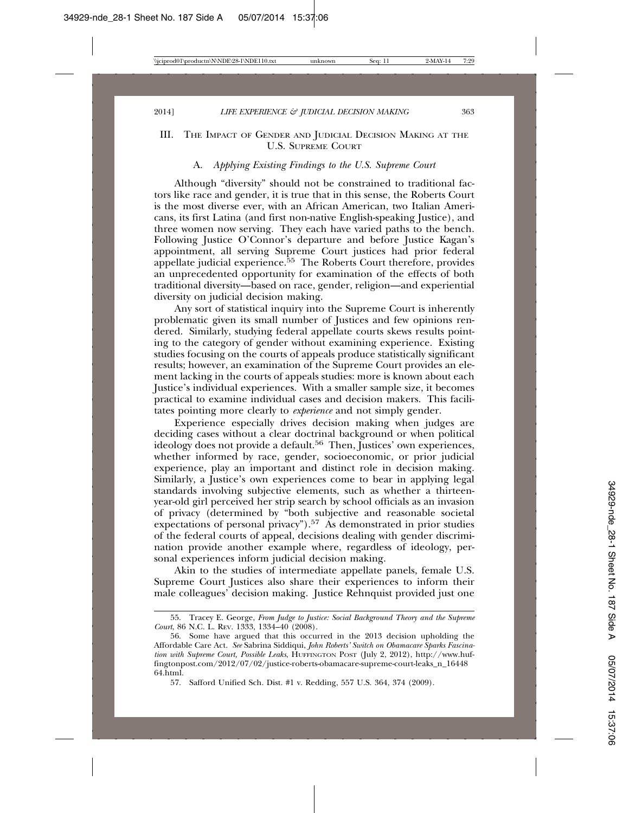#### III. THE IMPACT OF GENDER AND JUDICIAL DECISION MAKING AT THE U.S. SUPREME COURT

#### A. *Applying Existing Findings to the U.S. Supreme Court*

Although "diversity" should not be constrained to traditional factors like race and gender, it is true that in this sense, the Roberts Court is the most diverse ever, with an African American, two Italian Americans, its first Latina (and first non-native English-speaking Justice), and three women now serving. They each have varied paths to the bench. Following Justice O'Connor's departure and before Justice Kagan's appointment, all serving Supreme Court justices had prior federal appellate judicial experience. $55$  The Roberts Court therefore, provides an unprecedented opportunity for examination of the effects of both traditional diversity—based on race, gender, religion—and experiential diversity on judicial decision making.

Any sort of statistical inquiry into the Supreme Court is inherently problematic given its small number of Justices and few opinions rendered. Similarly, studying federal appellate courts skews results pointing to the category of gender without examining experience. Existing studies focusing on the courts of appeals produce statistically significant results; however, an examination of the Supreme Court provides an element lacking in the courts of appeals studies: more is known about each Justice's individual experiences. With a smaller sample size, it becomes practical to examine individual cases and decision makers. This facilitates pointing more clearly to *experience* and not simply gender.

Experience especially drives decision making when judges are deciding cases without a clear doctrinal background or when political ideology does not provide a default.<sup>56</sup> Then, Justices' own experiences, whether informed by race, gender, socioeconomic, or prior judicial experience, play an important and distinct role in decision making. Similarly, a Justice's own experiences come to bear in applying legal standards involving subjective elements, such as whether a thirteenyear-old girl perceived her strip search by school officials as an invasion of privacy (determined by "both subjective and reasonable societal expectations of personal privacy").<sup>57</sup> As demonstrated in prior studies of the federal courts of appeal, decisions dealing with gender discrimination provide another example where, regardless of ideology, personal experiences inform judicial decision making.

Akin to the studies of intermediate appellate panels, female U.S. Supreme Court Justices also share their experiences to inform their male colleagues' decision making. Justice Rehnquist provided just one

<sup>55.</sup> Tracey E. George, *From Judge to Justice: Social Background Theory and the Supreme Court*, 86 N.C. L. REV. 1333, 1334–40 (2008).

<sup>56.</sup> Some have argued that this occurred in the 2013 decision upholding the Affordable Care Act. *See* Sabrina Siddiqui, *John Roberts' Switch on Obamacare Sparks Fascination with Supreme Court, Possible Leaks*, HUFFINGTON POST (July 2, 2012), http://www.huffingtonpost.com/2012/07/02/justice-roberts-obamacare-supreme-court-leaks\_n\_16448 64.html.

<sup>57.</sup> Safford Unified Sch. Dist. #1 v. Redding, 557 U.S. 364, 374 (2009).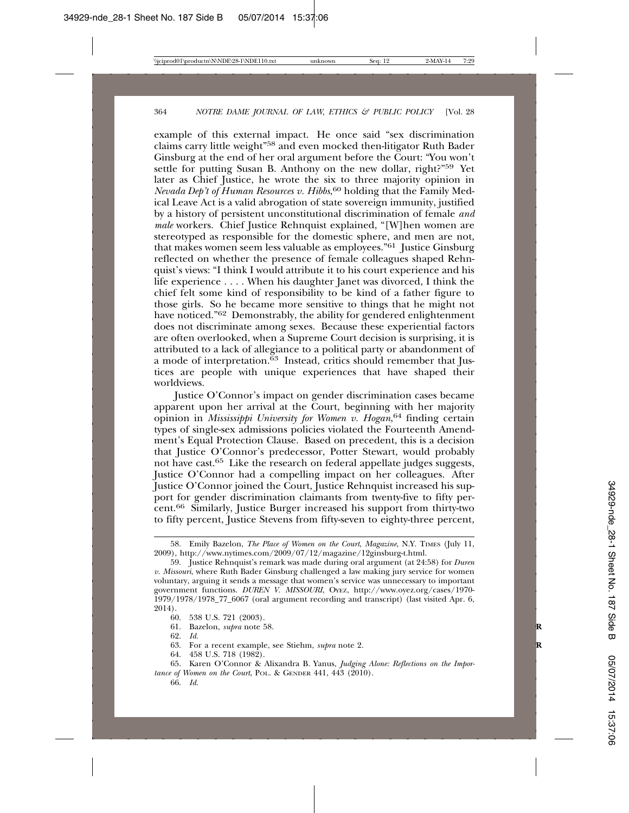example of this external impact. He once said "sex discrimination claims carry little weight"58 and even mocked then-litigator Ruth Bader Ginsburg at the end of her oral argument before the Court: "You won't settle for putting Susan B. Anthony on the new dollar, right?"<sup>59</sup> Yet later as Chief Justice, he wrote the six to three majority opinion in *Nevada Dep't of Human Resources v. Hibbs*, 60 holding that the Family Medical Leave Act is a valid abrogation of state sovereign immunity, justified by a history of persistent unconstitutional discrimination of female *and male* workers. Chief Justice Rehnquist explained, "[W]hen women are stereotyped as responsible for the domestic sphere, and men are not, that makes women seem less valuable as employees."61 Justice Ginsburg reflected on whether the presence of female colleagues shaped Rehnquist's views: "I think I would attribute it to his court experience and his life experience . . . . When his daughter Janet was divorced, I think the chief felt some kind of responsibility to be kind of a father figure to those girls. So he became more sensitive to things that he might not have noticed."<sup>62</sup> Demonstrably, the ability for gendered enlightenment does not discriminate among sexes. Because these experiential factors are often overlooked, when a Supreme Court decision is surprising, it is attributed to a lack of allegiance to a political party or abandonment of a mode of interpretation. $63$  Instead, critics should remember that Justices are people with unique experiences that have shaped their worldviews.

Justice O'Connor's impact on gender discrimination cases became apparent upon her arrival at the Court, beginning with her majority opinion in *Mississippi University for Women v. Hogan*, 64 finding certain types of single-sex admissions policies violated the Fourteenth Amendment's Equal Protection Clause. Based on precedent, this is a decision that Justice O'Connor's predecessor, Potter Stewart, would probably not have cast.65 Like the research on federal appellate judges suggests, Justice O'Connor had a compelling impact on her colleagues. After Justice O'Connor joined the Court, Justice Rehnquist increased his support for gender discrimination claimants from twenty-five to fifty percent.66 Similarly, Justice Burger increased his support from thirty-two to fifty percent, Justice Stevens from fifty-seven to eighty-three percent,

- 61. Bazelon, *supra* note 58. **R**
- 62. *Id.*
- 63. For a recent example, see Stiehm, *supra* note 2. **R**
- 64. 458 U.S. 718 (1982).

<sup>58.</sup> Emily Bazelon, *The Place of Women on the Court*, *Magazine*, N.Y. TIMES (July 11, 2009), http://www.nytimes.com/2009/07/12/magazine/12ginsburg-t.html.

<sup>59.</sup> Justice Rehnquist's remark was made during oral argument (at 24:58) for *Duren v. Missouri*, where Ruth Bader Ginsburg challenged a law making jury service for women voluntary, arguing it sends a message that women's service was unnecessary to important government functions. *DUREN V. MISSOURI*, Oyez, http://www.oyez.org/cases/1970-1979/1978/1978\_77\_6067 (oral argument recording and transcript) (last visited Apr. 6, 2014).

<sup>60. 538</sup> U.S. 721 (2003).

<sup>65.</sup> Karen O'Connor & Alixandra B. Yanus, *Judging Alone: Reflections on the Importance of Women on the Court*, POL. & GENDER 441, 443 (2010).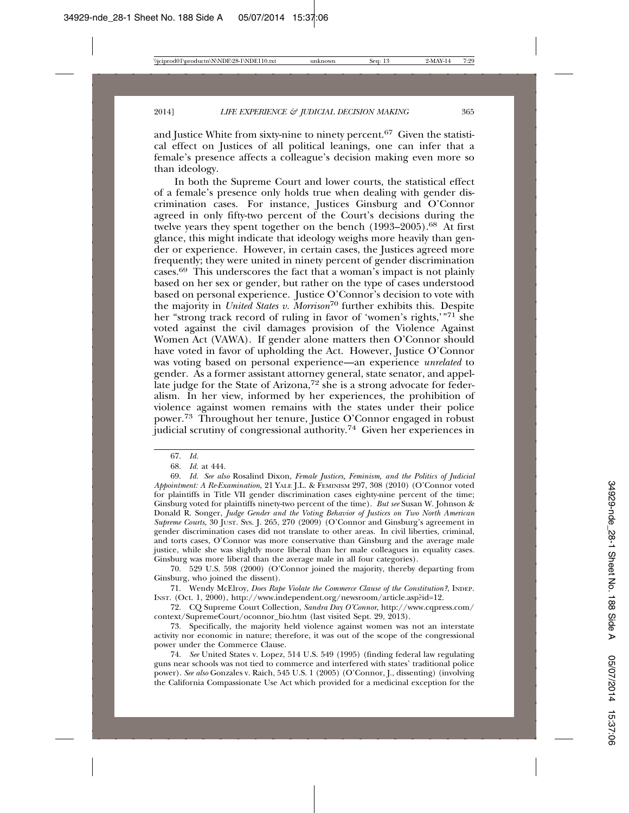and Justice White from sixty-nine to ninety percent.<sup>67</sup> Given the statistical effect on Justices of all political leanings, one can infer that a female's presence affects a colleague's decision making even more so than ideology.

In both the Supreme Court and lower courts, the statistical effect of a female's presence only holds true when dealing with gender discrimination cases. For instance, Justices Ginsburg and O'Connor agreed in only fifty-two percent of the Court's decisions during the twelve years they spent together on the bench (1993–2005).<sup>68</sup> At first glance, this might indicate that ideology weighs more heavily than gender or experience. However, in certain cases, the Justices agreed more frequently; they were united in ninety percent of gender discrimination cases.69 This underscores the fact that a woman's impact is not plainly based on her sex or gender, but rather on the type of cases understood based on personal experience. Justice O'Connor's decision to vote with the majority in *United States v. Morrison*70 further exhibits this. Despite her "strong track record of ruling in favor of 'women's rights,'"71 she voted against the civil damages provision of the Violence Against Women Act (VAWA). If gender alone matters then O'Connor should have voted in favor of upholding the Act. However, Justice O'Connor was voting based on personal experience—an experience *unrelated* to gender. As a former assistant attorney general, state senator, and appellate judge for the State of Arizona,<sup>72</sup> she is a strong advocate for federalism. In her view, informed by her experiences, the prohibition of violence against women remains with the states under their police power.73 Throughout her tenure, Justice O'Connor engaged in robust judicial scrutiny of congressional authority.74 Given her experiences in

70. 529 U.S. 598 (2000) (O'Connor joined the majority, thereby departing from Ginsburg, who joined the dissent).

71. Wendy McElroy, *Does Rape Violate the Commerce Clause of the Constitution?*, INDEP. INST. (Oct. 1, 2000), http://www.independent.org/newsroom/article.asp?id=12.

72. CQ Supreme Court Collection, *Sandra Day O'Connor*, http://www.cqpress.com/ context/SupremeCourt/oconnor\_bio.htm (last visited Sept. 29, 2013).

73. Specifically, the majority held violence against women was not an interstate activity nor economic in nature; therefore, it was out of the scope of the congressional power under the Commerce Clause.

74. *See* United States v. Lopez, 514 U.S. 549 (1995) (finding federal law regulating guns near schools was not tied to commerce and interfered with states' traditional police power). *See also* Gonzales v. Raich, 545 U.S. 1 (2005) (O'Connor, J., dissenting) (involving the California Compassionate Use Act which provided for a medicinal exception for the

<sup>67.</sup> *Id.*

<sup>68.</sup> *Id.* at 444.

<sup>69.</sup> *Id. See also* Rosalind Dixon, *Female Justices, Feminism, and the Politics of Judicial Appointment: A Re-Examination*, 21 YALE J.L. & FEMINISM 297, 308 (2010) (O'Connor voted for plaintiffs in Title VII gender discrimination cases eighty-nine percent of the time; Ginsburg voted for plaintiffs ninety-two percent of the time). *But see* Susan W. Johnson & Donald R. Songer, *Judge Gender and the Voting Behavior of Justices on Two North American Supreme Courts*, 30 JUST. SYS. J. 265, 270 (2009) (O'Connor and Ginsburg's agreement in gender discrimination cases did not translate to other areas. In civil liberties, criminal, and torts cases, O'Connor was more conservative than Ginsburg and the average male justice, while she was slightly more liberal than her male colleagues in equality cases. Ginsburg was more liberal than the average male in all four categories).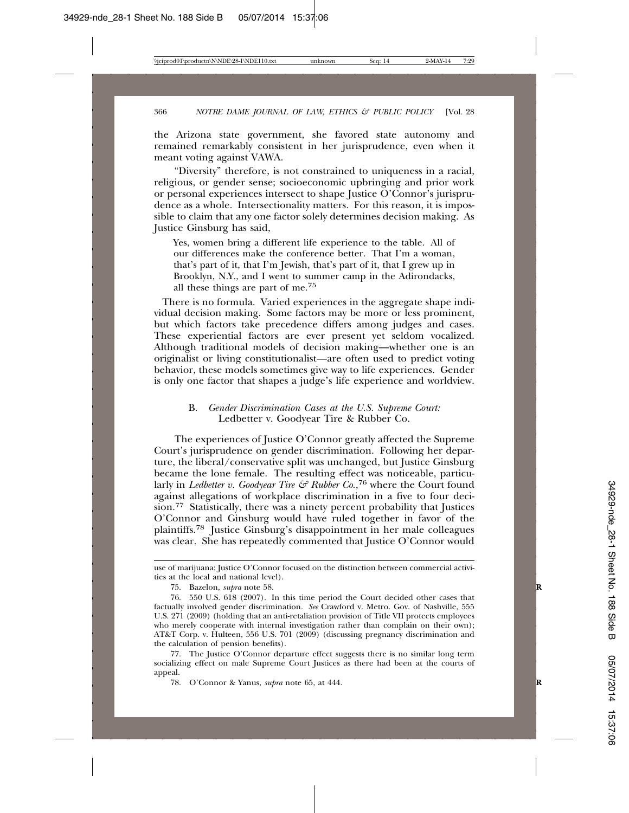the Arizona state government, she favored state autonomy and remained remarkably consistent in her jurisprudence, even when it meant voting against VAWA.

"Diversity" therefore, is not constrained to uniqueness in a racial, religious, or gender sense; socioeconomic upbringing and prior work or personal experiences intersect to shape Justice O'Connor's jurisprudence as a whole. Intersectionality matters. For this reason, it is impossible to claim that any one factor solely determines decision making. As Justice Ginsburg has said,

Yes, women bring a different life experience to the table. All of our differences make the conference better. That I'm a woman, that's part of it, that I'm Jewish, that's part of it, that I grew up in Brooklyn, N.Y., and I went to summer camp in the Adirondacks, all these things are part of me.75

 There is no formula. Varied experiences in the aggregate shape individual decision making. Some factors may be more or less prominent, but which factors take precedence differs among judges and cases. These experiential factors are ever present yet seldom vocalized. Although traditional models of decision making—whether one is an originalist or living constitutionalist—are often used to predict voting behavior, these models sometimes give way to life experiences. Gender is only one factor that shapes a judge's life experience and worldview.

#### B. *Gender Discrimination Cases at the U.S. Supreme Court:* Ledbetter v. Goodyear Tire & Rubber Co.

The experiences of Justice O'Connor greatly affected the Supreme Court's jurisprudence on gender discrimination. Following her departure, the liberal/conservative split was unchanged, but Justice Ginsburg became the lone female. The resulting effect was noticeable, particularly in *Ledbetter v. Goodyear Tire & Rubber Co.*,<sup>76</sup> where the Court found against allegations of workplace discrimination in a five to four decision.77 Statistically, there was a ninety percent probability that Justices O'Connor and Ginsburg would have ruled together in favor of the plaintiffs.78 Justice Ginsburg's disappointment in her male colleagues was clear. She has repeatedly commented that Justice O'Connor would

use of marijuana; Justice O'Connor focused on the distinction between commercial activities at the local and national level).

<sup>75.</sup> Bazelon, *supra* note 58. **R**

<sup>76. 550</sup> U.S. 618 (2007). In this time period the Court decided other cases that factually involved gender discrimination. *See* Crawford v. Metro. Gov. of Nashville, 555 U.S. 271 (2009) (holding that an anti-retaliation provision of Title VII protects employees who merely cooperate with internal investigation rather than complain on their own); AT&T Corp. v. Hulteen, 556 U.S. 701 (2009) (discussing pregnancy discrimination and the calculation of pension benefits).

<sup>77.</sup> The Justice O'Connor departure effect suggests there is no similar long term socializing effect on male Supreme Court Justices as there had been at the courts of appeal.

<sup>78.</sup> O'Connor & Yanus, *supra* note 65, at 444. **R**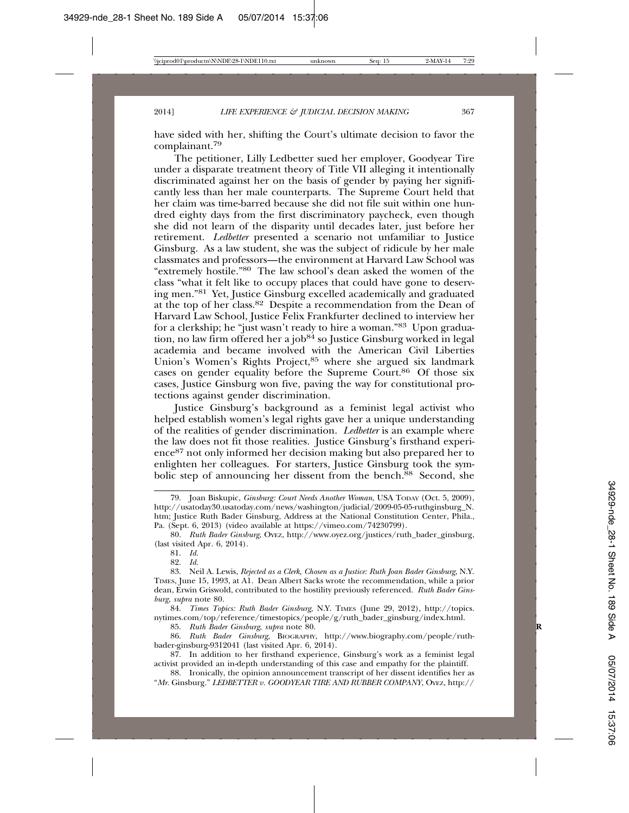have sided with her, shifting the Court's ultimate decision to favor the complainant.<sup>79</sup>

The petitioner, Lilly Ledbetter sued her employer, Goodyear Tire under a disparate treatment theory of Title VII alleging it intentionally discriminated against her on the basis of gender by paying her significantly less than her male counterparts. The Supreme Court held that her claim was time-barred because she did not file suit within one hundred eighty days from the first discriminatory paycheck, even though she did not learn of the disparity until decades later, just before her retirement. *Ledbetter* presented a scenario not unfamiliar to Justice Ginsburg. As a law student, she was the subject of ridicule by her male classmates and professors—the environment at Harvard Law School was "extremely hostile."80 The law school's dean asked the women of the class "what it felt like to occupy places that could have gone to deserving men."81 Yet, Justice Ginsburg excelled academically and graduated at the top of her class.82 Despite a recommendation from the Dean of Harvard Law School, Justice Felix Frankfurter declined to interview her for a clerkship; he "just wasn't ready to hire a woman."83 Upon graduation, no law firm offered her a job<sup>84</sup> so Justice Ginsburg worked in legal academia and became involved with the American Civil Liberties Union's Women's Rights Project,<sup>85</sup> where she argued six landmark cases on gender equality before the Supreme Court.<sup>86</sup> Of those six cases, Justice Ginsburg won five, paving the way for constitutional protections against gender discrimination.

Justice Ginsburg's background as a feminist legal activist who helped establish women's legal rights gave her a unique understanding of the realities of gender discrimination. *Ledbetter* is an example where the law does not fit those realities. Justice Ginsburg's firsthand experience87 not only informed her decision making but also prepared her to enlighten her colleagues. For starters, Justice Ginsburg took the symbolic step of announcing her dissent from the bench.<sup>88</sup> Second, she

80. *Ruth Bader Ginsburg*, OYEZ, http://www.oyez.org/justices/ruth\_bader\_ginsburg, (last visited Apr. 6, 2014).

81. *Id.*

82. *Id.*

83. Neil A. Lewis, *Rejected as a Clerk, Chosen as a Justice: Ruth Joan Bader Ginsburg*, N.Y. TIMES, June 15, 1993, at A1. Dean Albert Sacks wrote the recommendation, while a prior dean, Erwin Griswold, contributed to the hostility previously referenced. *Ruth Bader Ginsburg*, *supra* note 80.

84. *Times Topics: Ruth Bader Ginsburg*, N.Y. TIMES (June 29, 2012), http://topics. nytimes.com/top/reference/timestopics/people/g/ruth\_bader\_ginsburg/index.html.

85. *Ruth Bader Ginsburg*, *supra* note 80. **R**

86. *Ruth Bader Ginsburg,* BIOGRAPHY, http://www.biography.com/people/ruthbader-ginsburg-9312041 (last visited Apr. 6, 2014).

87. In addition to her firsthand experience, Ginsburg's work as a feminist legal activist provided an in-depth understanding of this case and empathy for the plaintiff.

88. Ironically, the opinion announcement transcript of her dissent identifies her as "*Mr*. Ginsburg." *LEDBETTER v. GOODYEAR TIRE AND RUBBER COMPANY*, OYEZ, http://

<sup>79.</sup> Joan Biskupic, *Ginsburg: Court Needs Another Woman*, USA TODAY (Oct. 5, 2009), http://usatoday30.usatoday.com/news/washington/judicial/2009-05-05-ruthginsburg\_N. htm; Justice Ruth Bader Ginsburg, Address at the National Constitution Center, Phila., Pa. (Sept. 6, 2013) (video available at https://vimeo.com/74230799).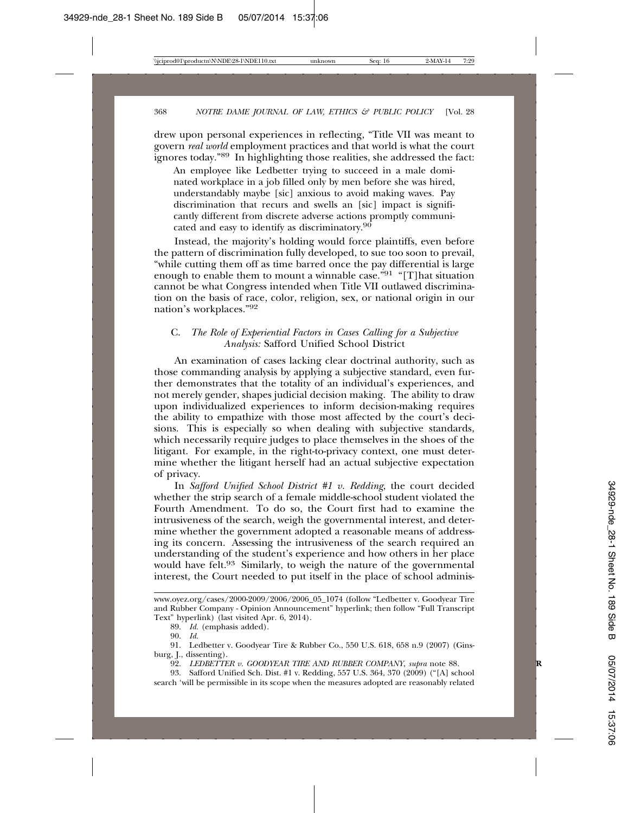drew upon personal experiences in reflecting, "Title VII was meant to govern *real world* employment practices and that world is what the court ignores today."89 In highlighting those realities, she addressed the fact:

An employee like Ledbetter trying to succeed in a male dominated workplace in a job filled only by men before she was hired, understandably maybe [sic] anxious to avoid making waves. Pay discrimination that recurs and swells an [sic] impact is significantly different from discrete adverse actions promptly communicated and easy to identify as discriminatory.90

Instead, the majority's holding would force plaintiffs, even before the pattern of discrimination fully developed, to sue too soon to prevail, "while cutting them off as time barred once the pay differential is large enough to enable them to mount a winnable case."91 "[T]hat situation cannot be what Congress intended when Title VII outlawed discrimination on the basis of race, color, religion, sex, or national origin in our nation's workplaces."92

#### C. *The Role of Experiential Factors in Cases Calling for a Subjective Analysis:* Safford Unified School District

An examination of cases lacking clear doctrinal authority, such as those commanding analysis by applying a subjective standard, even further demonstrates that the totality of an individual's experiences, and not merely gender, shapes judicial decision making. The ability to draw upon individualized experiences to inform decision-making requires the ability to empathize with those most affected by the court's decisions. This is especially so when dealing with subjective standards, which necessarily require judges to place themselves in the shoes of the litigant. For example, in the right-to-privacy context, one must determine whether the litigant herself had an actual subjective expectation of privacy.

In *Safford Unified School District #1 v. Redding*, the court decided whether the strip search of a female middle-school student violated the Fourth Amendment. To do so, the Court first had to examine the intrusiveness of the search, weigh the governmental interest, and determine whether the government adopted a reasonable means of addressing its concern. Assessing the intrusiveness of the search required an understanding of the student's experience and how others in her place would have felt.<sup>93</sup> Similarly, to weigh the nature of the governmental interest, the Court needed to put itself in the place of school adminis-

www.oyez.org/cases/2000-2009/2006/2006\_05\_1074 (follow "Ledbetter v. Goodyear Tire and Rubber Company - Opinion Announcement" hyperlink; then follow "Full Transcript Text" hyperlink) (last visited Apr. 6, 2014).

<sup>89.</sup> *Id.* (emphasis added).

<sup>90.</sup> *Id.*

<sup>91.</sup> Ledbetter v. Goodyear Tire & Rubber Co., 550 U.S. 618, 658 n.9 (2007) (Ginsburg, J., dissenting).

<sup>92.</sup> *LEDBETTER v. GOODYEAR TIRE AND RUBBER COMPANY*, *supra* note 88. **R**

<sup>93.</sup> Safford Unified Sch. Dist. #1 v. Redding, 557 U.S. 364, 370 (2009) ("[A] school search 'will be permissible in its scope when the measures adopted are reasonably related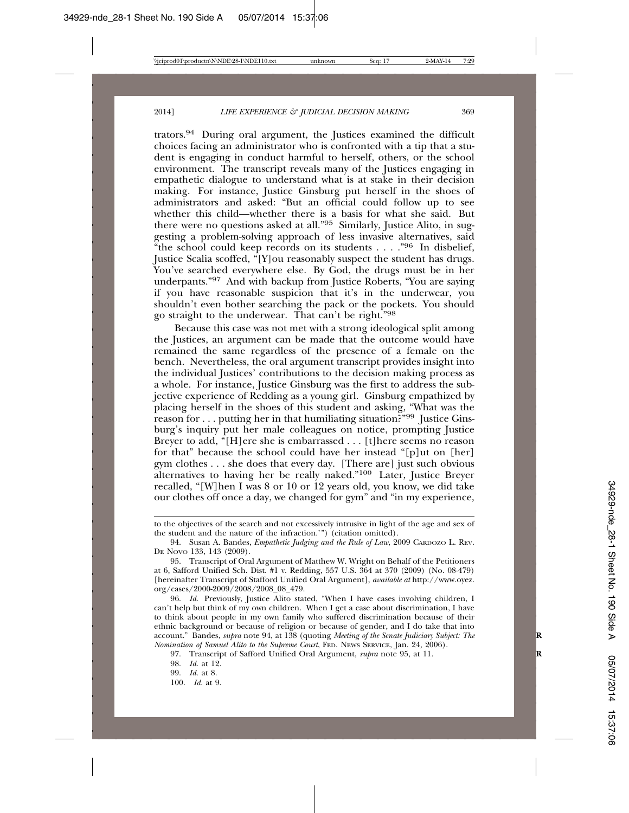trators.94 During oral argument, the Justices examined the difficult choices facing an administrator who is confronted with a tip that a student is engaging in conduct harmful to herself, others, or the school environment. The transcript reveals many of the Justices engaging in empathetic dialogue to understand what is at stake in their decision making. For instance, Justice Ginsburg put herself in the shoes of administrators and asked: "But an official could follow up to see whether this child—whether there is a basis for what she said. But there were no questions asked at all."95 Similarly, Justice Alito, in suggesting a problem-solving approach of less invasive alternatives, said "the school could keep records on its students  $\dots$ ."<sup>96</sup> In disbelief, Justice Scalia scoffed, "[Y]ou reasonably suspect the student has drugs. You've searched everywhere else. By God, the drugs must be in her underpants."97 And with backup from Justice Roberts, "You are saying if you have reasonable suspicion that it's in the underwear, you shouldn't even bother searching the pack or the pockets. You should go straight to the underwear. That can't be right."98

Because this case was not met with a strong ideological split among the Justices, an argument can be made that the outcome would have remained the same regardless of the presence of a female on the bench. Nevertheless, the oral argument transcript provides insight into the individual Justices' contributions to the decision making process as a whole. For instance, Justice Ginsburg was the first to address the subjective experience of Redding as a young girl. Ginsburg empathized by placing herself in the shoes of this student and asking, "What was the reason for . . . putting her in that humiliating situation?"99 Justice Ginsburg's inquiry put her male colleagues on notice, prompting Justice Breyer to add, "[H]ere she is embarrassed . . . [t]here seems no reason for that" because the school could have her instead "[p]ut on [her] gym clothes . . . she does that every day. [There are] just such obvious alternatives to having her be really naked."100 Later, Justice Breyer recalled, "[W]hen I was 8 or 10 or 12 years old, you know, we did take our clothes off once a day, we changed for gym" and "in my experience,

to the objectives of the search and not excessively intrusive in light of the age and sex of the student and the nature of the infraction.'") (citation omitted).

<sup>94.</sup> Susan A. Bandes, *Empathetic Judging and the Rule of Law*, 2009 CARDOZO L. REV. DE NOVO 133, 143 (2009).

<sup>95.</sup> Transcript of Oral Argument of Matthew W. Wright on Behalf of the Petitioners at 6, Safford Unified Sch. Dist. #1 v. Redding, 557 U.S. 364 at 370 (2009) (No. 08-479) [hereinafter Transcript of Stafford Unified Oral Argument], *available at* http://www.oyez. org/cases/2000-2009/2008/2008\_08\_479.

<sup>96.</sup> *Id.* Previously, Justice Alito stated, "When I have cases involving children, I can't help but think of my own children. When I get a case about discrimination, I have to think about people in my own family who suffered discrimination because of their ethnic background or because of religion or because of gender, and I do take that into account." Bandes, *supra* note 94, at 138 (quoting *Meeting of the Senate Judiciary Subject: The Nomination of Samuel Alito to the Supreme Court*, FED. NEWS SERVICE, Jan. 24, 2006).

<sup>97.</sup> Transcript of Safford Unified Oral Argument, *supra* note 95, at 11. **R**

<sup>98.</sup> *Id.* at 12.

<sup>99.</sup> *Id.* at 8.

<sup>100.</sup> *Id.* at 9.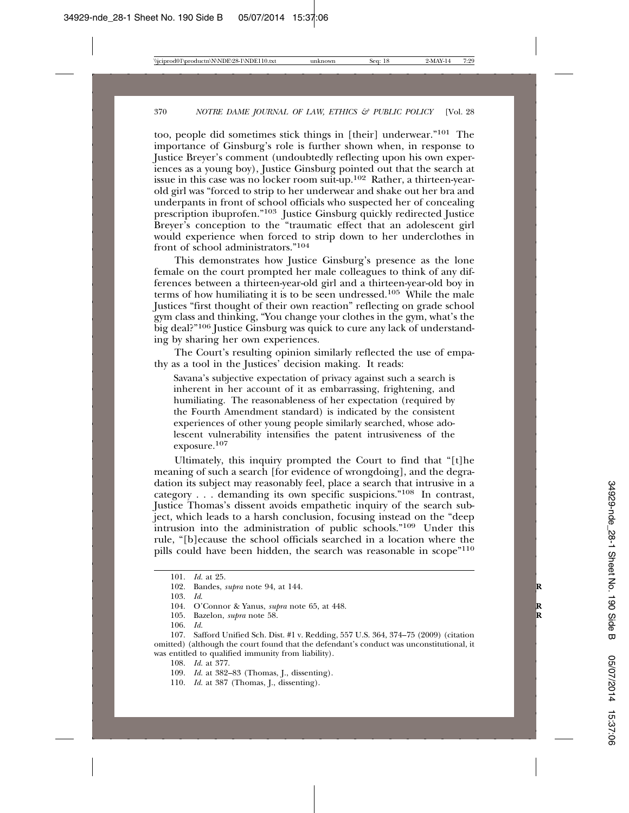too, people did sometimes stick things in [their] underwear."101 The importance of Ginsburg's role is further shown when, in response to Justice Breyer's comment (undoubtedly reflecting upon his own experiences as a young boy), Justice Ginsburg pointed out that the search at issue in this case was no locker room suit-up.102 Rather, a thirteen-yearold girl was "forced to strip to her underwear and shake out her bra and underpants in front of school officials who suspected her of concealing prescription ibuprofen."103 Justice Ginsburg quickly redirected Justice Breyer's conception to the "traumatic effect that an adolescent girl would experience when forced to strip down to her underclothes in front of school administrators."104

This demonstrates how Justice Ginsburg's presence as the lone female on the court prompted her male colleagues to think of any differences between a thirteen-year-old girl and a thirteen-year-old boy in terms of how humiliating it is to be seen undressed.105 While the male Justices "first thought of their own reaction" reflecting on grade school gym class and thinking, "You change your clothes in the gym, what's the big deal?"<sup>106</sup> Justice Ginsburg was quick to cure any lack of understanding by sharing her own experiences.

The Court's resulting opinion similarly reflected the use of empathy as a tool in the Justices' decision making. It reads:

Savana's subjective expectation of privacy against such a search is inherent in her account of it as embarrassing, frightening, and humiliating. The reasonableness of her expectation (required by the Fourth Amendment standard) is indicated by the consistent experiences of other young people similarly searched, whose adolescent vulnerability intensifies the patent intrusiveness of the exposure.<sup>107</sup>

Ultimately, this inquiry prompted the Court to find that "[t]he meaning of such a search [for evidence of wrongdoing], and the degradation its subject may reasonably feel, place a search that intrusive in a category . . . demanding its own specific suspicions."108 In contrast, Justice Thomas's dissent avoids empathetic inquiry of the search subject, which leads to a harsh conclusion, focusing instead on the "deep intrusion into the administration of public schools."109 Under this rule, "[b]ecause the school officials searched in a location where the pills could have been hidden, the search was reasonable in scope"110

<sup>101.</sup> *Id.* at 25.

<sup>102.</sup> Bandes, *supra* note 94, at 144. **R**

<sup>103.</sup> *Id*.

<sup>104.</sup> O'Connor & Yanus, *supra* note 65, at 448. **R**

<sup>105.</sup> Bazelon, *supra* note 58.<br>106. *Id.* 

<sup>106.</sup> *Id.*

<sup>107.</sup> Safford Unified Sch. Dist. #1 v. Redding, 557 U.S. 364, 374–75 (2009) (citation omitted) (although the court found that the defendant's conduct was unconstitutional, it was entitled to qualified immunity from liability).

<sup>108.</sup> *Id.* at 377.

<sup>109.</sup> *Id.* at 382–83 (Thomas, J., dissenting).

<sup>110.</sup> *Id.* at 387 (Thomas, J., dissenting).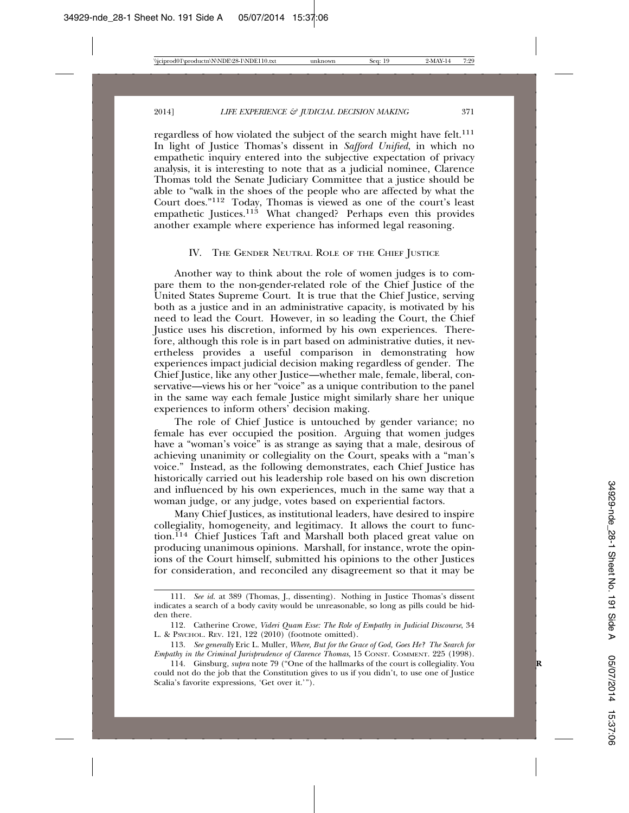regardless of how violated the subject of the search might have felt.<sup>111</sup> In light of Justice Thomas's dissent in *Safford Unified*, in which no empathetic inquiry entered into the subjective expectation of privacy analysis, it is interesting to note that as a judicial nominee, Clarence Thomas told the Senate Judiciary Committee that a justice should be able to "walk in the shoes of the people who are affected by what the Court does."112 Today, Thomas is viewed as one of the court's least empathetic Justices.<sup>113</sup> What changed? Perhaps even this provides another example where experience has informed legal reasoning.

#### IV. THE GENDER NEUTRAL ROLE OF THE CHIEF JUSTICE

Another way to think about the role of women judges is to compare them to the non-gender-related role of the Chief Justice of the United States Supreme Court. It is true that the Chief Justice, serving both as a justice and in an administrative capacity, is motivated by his need to lead the Court. However, in so leading the Court, the Chief Justice uses his discretion, informed by his own experiences. Therefore, although this role is in part based on administrative duties, it nevertheless provides a useful comparison in demonstrating how experiences impact judicial decision making regardless of gender. The Chief Justice, like any other Justice—whether male, female, liberal, conservative—views his or her "voice" as a unique contribution to the panel in the same way each female Justice might similarly share her unique experiences to inform others' decision making.

The role of Chief Justice is untouched by gender variance; no female has ever occupied the position. Arguing that women judges have a "woman's voice" is as strange as saying that a male, desirous of achieving unanimity or collegiality on the Court, speaks with a "man's voice." Instead, as the following demonstrates, each Chief Justice has historically carried out his leadership role based on his own discretion and influenced by his own experiences, much in the same way that a woman judge, or any judge, votes based on experiential factors.

Many Chief Justices, as institutional leaders, have desired to inspire collegiality, homogeneity, and legitimacy. It allows the court to function.<sup>114</sup> Chief Justices Taft and Marshall both placed great value on producing unanimous opinions. Marshall, for instance, wrote the opinions of the Court himself, submitted his opinions to the other Justices for consideration, and reconciled any disagreement so that it may be

<sup>111.</sup> *See id.* at 389 (Thomas, J., dissenting). Nothing in Justice Thomas's dissent indicates a search of a body cavity would be unreasonable, so long as pills could be hidden there.

<sup>112.</sup> Catherine Crowe, *Videri Quam Esse: The Role of Empathy in Judicial Discourse*, 34 L. & PSYCHOL. REV. 121, 122 (2010) (footnote omitted).

<sup>113.</sup> *See generally* Eric L. Muller, *Where, But for the Grace of God, Goes He? The Search for Empathy in the Criminal Jurisprudence of Clarence Thomas*, 15 CONST. COMMENT. 225 (1998).

<sup>114.</sup> Ginsburg, *supra* note 79 ("One of the hallmarks of the court is collegiality. You **R** could not do the job that the Constitution gives to us if you didn't, to use one of Justice Scalia's favorite expressions, 'Get over it.'").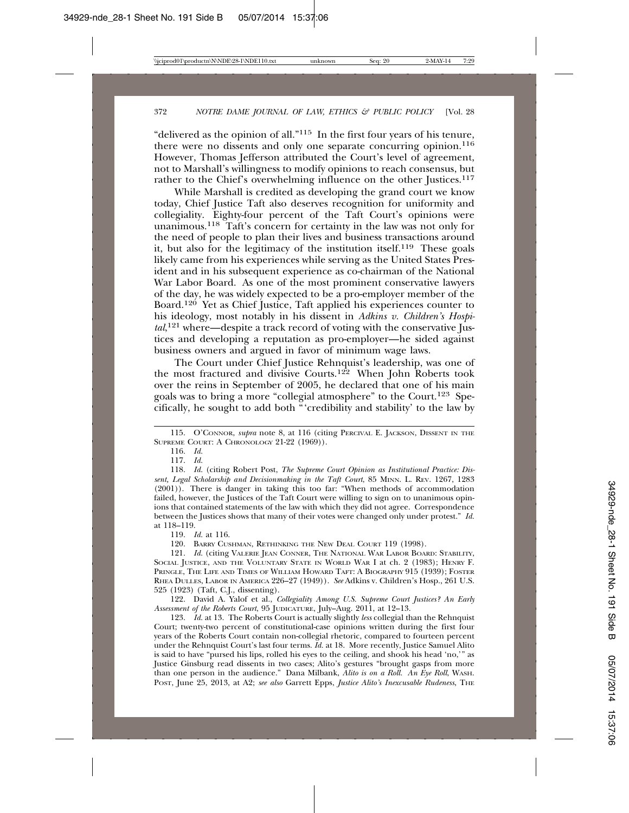"delivered as the opinion of all."115 In the first four years of his tenure, there were no dissents and only one separate concurring opinion.<sup>116</sup> However, Thomas Jefferson attributed the Court's level of agreement, not to Marshall's willingness to modify opinions to reach consensus, but rather to the Chief's overwhelming influence on the other Justices.<sup>117</sup>

While Marshall is credited as developing the grand court we know today, Chief Justice Taft also deserves recognition for uniformity and collegiality. Eighty-four percent of the Taft Court's opinions were unanimous.118 Taft's concern for certainty in the law was not only for the need of people to plan their lives and business transactions around it, but also for the legitimacy of the institution itself.<sup>119</sup> These goals likely came from his experiences while serving as the United States President and in his subsequent experience as co-chairman of the National War Labor Board. As one of the most prominent conservative lawyers of the day, he was widely expected to be a pro-employer member of the Board.120 Yet as Chief Justice, Taft applied his experiences counter to his ideology, most notably in his dissent in *Adkins v. Children's Hospital*, 121 where—despite a track record of voting with the conservative Justices and developing a reputation as pro-employer—he sided against business owners and argued in favor of minimum wage laws.

The Court under Chief Justice Rehnquist's leadership, was one of the most fractured and divisive Courts.<sup>122</sup> When John Roberts took over the reins in September of 2005, he declared that one of his main goals was to bring a more "collegial atmosphere" to the Court.123 Specifically, he sought to add both "'credibility and stability' to the law by

122. David A. Yalof et al., *Collegiality Among U.S. Supreme Court Justices? An Early Assessment of the Roberts Court*, 95 JUDICATURE, July–Aug. 2011, at 12–13.

123. *Id.* at 13. The Roberts Court is actually slightly *less* collegial than the Rehnquist Court; twenty-two percent of constitutional-case opinions written during the first four years of the Roberts Court contain non-collegial rhetoric, compared to fourteen percent under the Rehnquist Court's last four terms. *Id.* at 18. More recently, Justice Samuel Alito is said to have "pursed his lips, rolled his eyes to the ceiling, and shook his head 'no,'" as Justice Ginsburg read dissents in two cases; Alito's gestures "brought gasps from more than one person in the audience." Dana Milbank, *Alito is on a Roll. An Eye Roll*, WASH. POST, June 25, 2013, at A2; *see also* Garrett Epps, *Justice Alito's Inexcusable Rudeness*, THE

<sup>115.</sup> O'CONNOR, *supra* note 8, at 116 (citing PERCIVAL E. JACKSON, DISSENT IN THE SUPREME COURT: A CHRONOLOGY 21-22 (1969)).

<sup>116.</sup> *Id.*

<sup>117.</sup> *Id.*

<sup>118.</sup> *Id.* (citing Robert Post, *The Supreme Court Opinion as Institutional Practice: Dissent, Legal Scholarship and Decisionmaking in the Taft Court*, 85 MINN. L. REV. 1267, 1283 (2001)). There is danger in taking this too far: "When methods of accommodation failed, however, the Justices of the Taft Court were willing to sign on to unanimous opinions that contained statements of the law with which they did not agree. Correspondence between the Justices shows that many of their votes were changed only under protest." *Id.* at 118–119.

<sup>119.</sup> *Id.* at 116.

<sup>120.</sup> BARRY CUSHMAN, RETHINKING THE NEW DEAL COURT 119 (1998).

<sup>121.</sup> *Id.* (citing VALERIE JEAN CONNER, THE NATIONAL WAR LABOR BOARD: STABILITY, SOCIAL JUSTICE, AND THE VOLUNTARY STATE IN WORLD WAR I at ch. 2 (1983); HENRY F. PRINGLE, THE LIFE AND TIMES OF WILLIAM HOWARD TAFT: A BIOGRAPHY 915 (1939); FOSTER RHEA DULLES, LABOR IN AMERICA 226–27 (1949)). *See* Adkins v. Children's Hosp., 261 U.S. 525 (1923) (Taft, C.J., dissenting).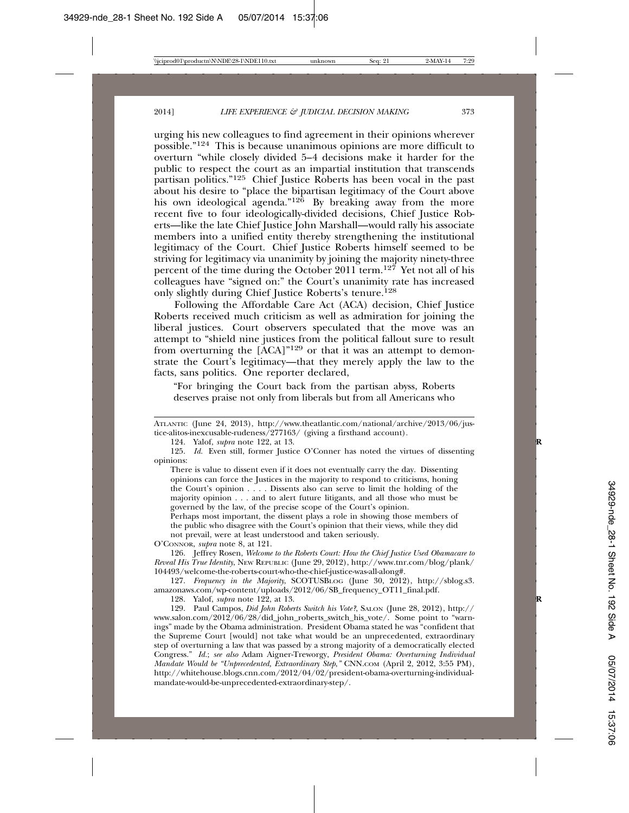urging his new colleagues to find agreement in their opinions wherever possible."124 This is because unanimous opinions are more difficult to overturn "while closely divided 5–4 decisions make it harder for the public to respect the court as an impartial institution that transcends partisan politics."125 Chief Justice Roberts has been vocal in the past about his desire to "place the bipartisan legitimacy of the Court above his own ideological agenda."<sup>126</sup> By breaking away from the more recent five to four ideologically-divided decisions, Chief Justice Roberts—like the late Chief Justice John Marshall—would rally his associate members into a unified entity thereby strengthening the institutional legitimacy of the Court. Chief Justice Roberts himself seemed to be striving for legitimacy via unanimity by joining the majority ninety-three percent of the time during the October 2011 term.127 Yet not all of his colleagues have "signed on:" the Court's unanimity rate has increased only slightly during Chief Justice Roberts's tenure.<sup>128</sup>

Following the Affordable Care Act (ACA) decision, Chief Justice Roberts received much criticism as well as admiration for joining the liberal justices. Court observers speculated that the move was an attempt to "shield nine justices from the political fallout sure to result from overturning the [ACA]"129 or that it was an attempt to demonstrate the Court's legitimacy—that they merely apply the law to the facts, sans politics. One reporter declared,

"For bringing the Court back from the partisan abyss, Roberts deserves praise not only from liberals but from all Americans who

124. Yalof, *supra* note 122, at 13. **R**

There is value to dissent even if it does not eventually carry the day. Dissenting opinions can force the Justices in the majority to respond to criticisms, honing the Court's opinion . . . . Dissents also can serve to limit the holding of the majority opinion . . . and to alert future litigants, and all those who must be governed by the law, of the precise scope of the Court's opinion.

Perhaps most important, the dissent plays a role in showing those members of the public who disagree with the Court's opinion that their views, while they did not prevail, were at least understood and taken seriously.

O'CONNOR, *supra* note 8, at 121.

126. Jeffrey Rosen, *Welcome to the Roberts Court: How the Chief Justice Used Obamacare to Reveal His True Identity*, NEW REPUBLIC (June 29, 2012), http://www.tnr.com/blog/plank/ 104493/welcome-the-roberts-court-who-the-chief-justice-was-all-along#.

127. *Frequency in the Majority*, SCOTUSBLOG (June 30, 2012), http://sblog.s3. amazonaws.com/wp-content/uploads/2012/06/SB\_frequency\_OT11\_final.pdf.

128. Yalof, *supra* note 122, at 13. **R**

129. Paul Campos, *Did John Roberts Switch his Vote?*, SALON (June 28, 2012), http:// www.salon.com/2012/06/28/did\_john\_roberts\_switch\_his\_vote/. Some point to "warnings" made by the Obama administration. President Obama stated he was "confident that the Supreme Court [would] not take what would be an unprecedented, extraordinary step of overturning a law that was passed by a strong majority of a democratically elected Congress." *Id.*; *see also* Adam Aigner-Treworgy, *President Obama: Overturning Individual Mandate Would be "Unprecedented, Extraordinary Step*,*"* CNN.COM (April 2, 2012, 3:55 PM), http://whitehouse.blogs.cnn.com/2012/04/02/president-obama-overturning-individualmandate-would-be-unprecedented-extraordinary-step/.

ATLANTIC (June 24, 2013), http://www.theatlantic.com/national/archive/2013/06/justice-alitos-inexcusable-rudeness/277163/ (giving a firsthand account)*.*

<sup>125.</sup> *Id.* Even still, former Justice O'Conner has noted the virtues of dissenting opinions: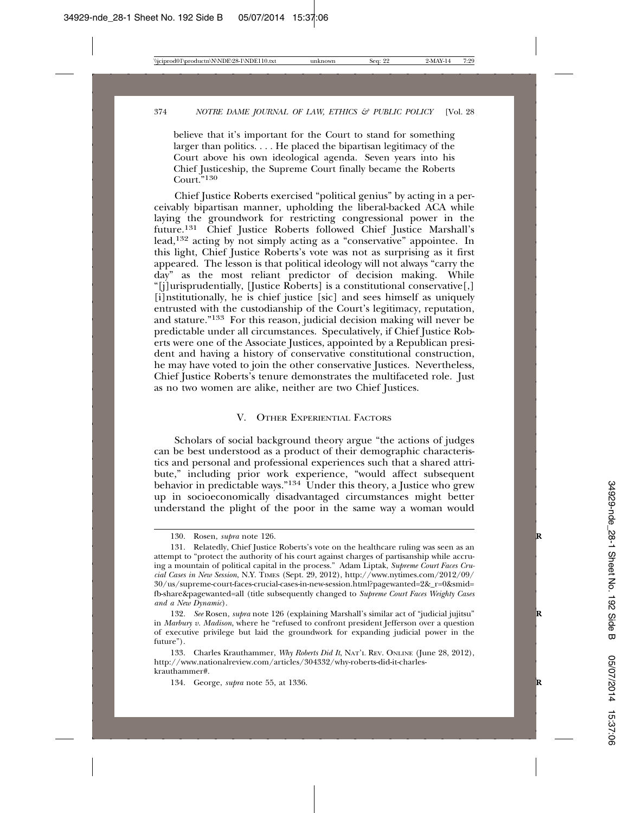believe that it's important for the Court to stand for something larger than politics. . . . He placed the bipartisan legitimacy of the Court above his own ideological agenda. Seven years into his Chief Justiceship, the Supreme Court finally became the Roberts Court."<sup>130</sup>

Chief Justice Roberts exercised "political genius" by acting in a perceivably bipartisan manner, upholding the liberal-backed ACA while laying the groundwork for restricting congressional power in the future.131 Chief Justice Roberts followed Chief Justice Marshall's lead,132 acting by not simply acting as a "conservative" appointee. In this light, Chief Justice Roberts's vote was not as surprising as it first appeared. The lesson is that political ideology will not always "carry the day" as the most reliant predictor of decision making. While "[j]urisprudentially, [Justice Roberts] is a constitutional conservative[,] [i]nstitutionally, he is chief justice [sic] and sees himself as uniquely entrusted with the custodianship of the Court's legitimacy, reputation, and stature."133 For this reason, judicial decision making will never be predictable under all circumstances. Speculatively, if Chief Justice Roberts were one of the Associate Justices, appointed by a Republican president and having a history of conservative constitutional construction, he may have voted to join the other conservative Justices. Nevertheless, Chief Justice Roberts's tenure demonstrates the multifaceted role. Just as no two women are alike, neither are two Chief Justices.

#### V. OTHER EXPERIENTIAL FACTORS

Scholars of social background theory argue "the actions of judges can be best understood as a product of their demographic characteristics and personal and professional experiences such that a shared attribute," including prior work experience, "would affect subsequent behavior in predictable ways."134 Under this theory, a Justice who grew up in socioeconomically disadvantaged circumstances might better understand the plight of the poor in the same way a woman would

<sup>130.</sup> Rosen, *supra* note 126. **R**

<sup>131.</sup> Relatedly, Chief Justice Roberts's vote on the healthcare ruling was seen as an attempt to "protect the authority of his court against charges of partisanship while accruing a mountain of political capital in the process." Adam Liptak, *Supreme Court Faces Crucial Cases in New Session*, N.Y. TIMES (Sept. 29, 2012), http://www.nytimes.com/2012/09/ 30/us/supreme-court-faces-crucial-cases-in-new-session.html?pagewanted=2&\_r=0&smid= fb-share&pagewanted=all (title subsequently changed to *Supreme Court Faces Weighty Cases and a New Dynamic*).

<sup>132.</sup> *See* Rosen, *supra* note 126 (explaining Marshall's similar act of "judicial jujitsu" **R** in *Marbury v. Madison*, where he "refused to confront president Jefferson over a question of executive privilege but laid the groundwork for expanding judicial power in the future")*.*

<sup>133.</sup> Charles Krauthammer, *Why Roberts Did It*, NAT'L REV. ONLINE (June 28, 2012), http://www.nationalreview.com/articles/304332/why-roberts-did-it-charleskrauthammer#.

<sup>134.</sup> George, *supra* note 55, at 1336. **R**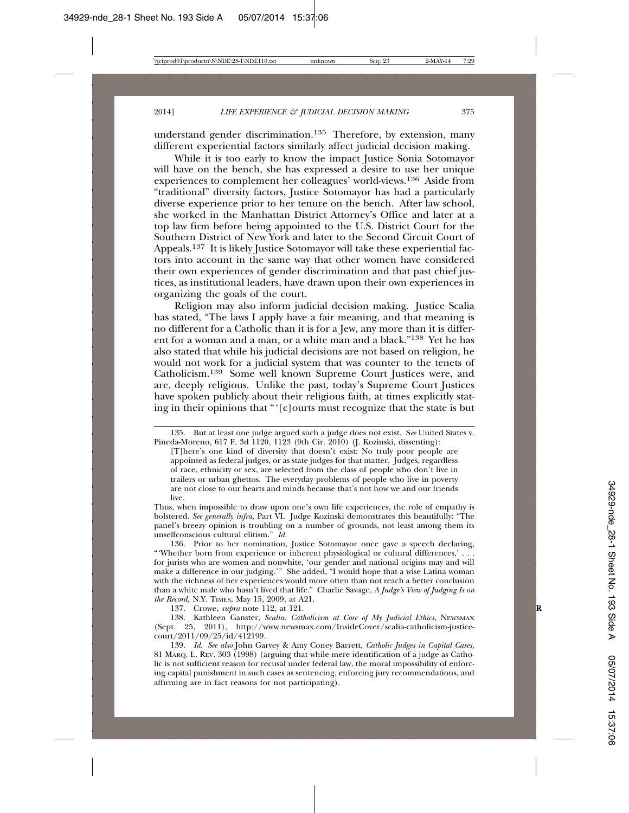understand gender discrimination.<sup>135</sup> Therefore, by extension, many different experiential factors similarly affect judicial decision making.

While it is too early to know the impact Justice Sonia Sotomayor will have on the bench, she has expressed a desire to use her unique experiences to complement her colleagues' world-views.136 Aside from "traditional" diversity factors, Justice Sotomayor has had a particularly diverse experience prior to her tenure on the bench. After law school, she worked in the Manhattan District Attorney's Office and later at a top law firm before being appointed to the U.S. District Court for the Southern District of New York and later to the Second Circuit Court of Appeals.137 It is likely Justice Sotomayor will take these experiential factors into account in the same way that other women have considered their own experiences of gender discrimination and that past chief justices, as institutional leaders, have drawn upon their own experiences in organizing the goals of the court.

Religion may also inform judicial decision making. Justice Scalia has stated, "The laws I apply have a fair meaning, and that meaning is no different for a Catholic than it is for a Jew, any more than it is different for a woman and a man, or a white man and a black."138 Yet he has also stated that while his judicial decisions are not based on religion, he would not work for a judicial system that was counter to the tenets of Catholicism.139 Some well known Supreme Court Justices were, and are, deeply religious. Unlike the past, today's Supreme Court Justices have spoken publicly about their religious faith, at times explicitly stating in their opinions that "'[c]ourts must recognize that the state is but

Thus, when impossible to draw upon one's own life experiences, the role of empathy is bolstered. *See generally infra,* Part VI. Judge Kozinski demonstrates this beautifully: "The panel's breezy opinion is troubling on a number of grounds, not least among them its unselfconscious cultural elitism." *Id*.

136. Prior to her nomination, Justice Sotomayor once gave a speech declaring, "'Whether born from experience or inherent physiological or cultural differences,' . . . for jurists who are women and nonwhite, 'our gender and national origins may and will make a difference in our judging.'" She added, "I would hope that a wise Latina woman with the richness of her experiences would more often than not reach a better conclusion than a white male who hasn't lived that life." Charlie Savage, *A Judge's View of Judging Is on the Record,* N.Y. TIMES, May 15, 2009, at A21.

137. Crowe, *supra* note 112, at 121. **R**

138. Kathleen Ganster, *Scalia: Catholicism at Core of My Judicial Ethics*, NEWSMAX (Sept. 25, 2011), http://www.newsmax.com/InsideCover/scalia-catholicism-justicecourt/2011/09/25/id/412199.

139. *Id. See also* John Garvey & Amy Coney Barrett, *Catholic Judges in Capital Cases,* 81 MARQ. L. REV. 303 (1998) (arguing that while mere identification of a judge as Catholic is not sufficient reason for recusal under federal law, the moral impossibility of enforcing capital punishment in such cases as sentencing, enforcing jury recommendations, and affirming are in fact reasons for not participating).

<sup>135.</sup> But at least one judge argued such a judge does not exist. S*ee* United States v. Pineda-Moreno, 617 F. 3d 1120, 1123 (9th Cir. 2010) (J. Kozinski, dissenting):

<sup>[</sup>T]here's one kind of diversity that doesn't exist: No truly poor people are appointed as federal judges, or as state judges for that matter. Judges, regardless of race, ethnicity or sex, are selected from the class of people who don't live in trailers or urban ghettos. The everyday problems of people who live in poverty are not close to our hearts and minds because that's not how we and our friends live.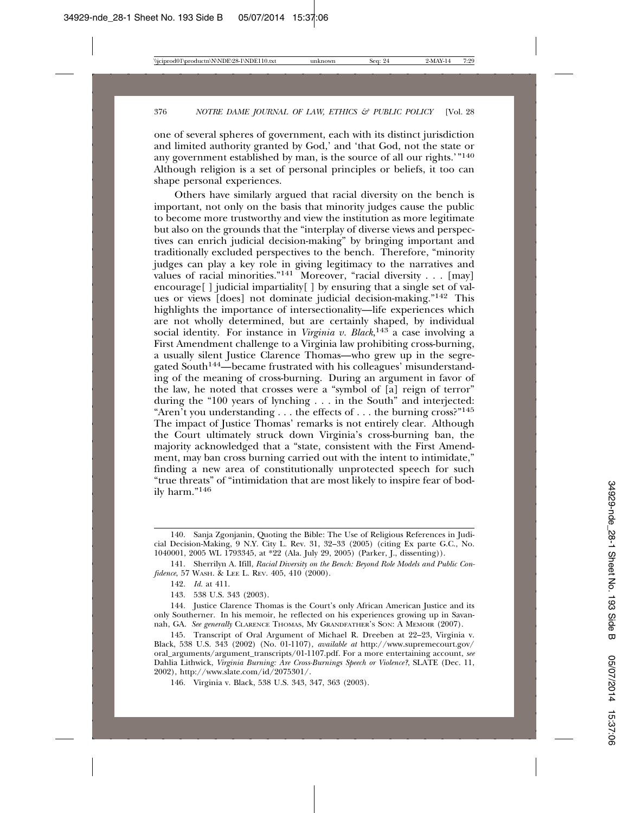one of several spheres of government, each with its distinct jurisdiction and limited authority granted by God,' and 'that God, not the state or any government established by man, is the source of all our rights.'"140 Although religion is a set of personal principles or beliefs, it too can shape personal experiences.

Others have similarly argued that racial diversity on the bench is important, not only on the basis that minority judges cause the public to become more trustworthy and view the institution as more legitimate but also on the grounds that the "interplay of diverse views and perspectives can enrich judicial decision-making" by bringing important and traditionally excluded perspectives to the bench. Therefore, "minority judges can play a key role in giving legitimacy to the narratives and values of racial minorities." $141^\circ$  Moreover, "racial diversity . . . [may] encourage  $\lceil \cdot \rceil$  judicial impartiality  $\lceil \cdot \rceil$  by ensuring that a single set of values or views [does] not dominate judicial decision-making."142 This highlights the importance of intersectionality—life experiences which are not wholly determined, but are certainly shaped, by individual social identity. For instance in *Virginia v. Black*, 143 a case involving a First Amendment challenge to a Virginia law prohibiting cross-burning, a usually silent Justice Clarence Thomas—who grew up in the segregated South144—became frustrated with his colleagues' misunderstanding of the meaning of cross-burning. During an argument in favor of the law, he noted that crosses were a "symbol of [a] reign of terror" during the "100 years of lynching . . . in the South" and interjected: "Aren't you understanding . . . the effects of . . . the burning cross?"<sup>145</sup> The impact of Justice Thomas' remarks is not entirely clear. Although the Court ultimately struck down Virginia's cross-burning ban, the majority acknowledged that a "state, consistent with the First Amendment, may ban cross burning carried out with the intent to intimidate," finding a new area of constitutionally unprotected speech for such "true threats" of "intimidation that are most likely to inspire fear of bodily harm."146

143. 538 U.S. 343 (2003).

144. Justice Clarence Thomas is the Court's only African American Justice and its only Southerner. In his memoir, he reflected on his experiences growing up in Savannah, GA. *See generally* CLARENCE THOMAS, MY GRANDFATHER'S SON: A MEMOIR (2007).

<sup>140.</sup> Sanja Zgonjanin, Quoting the Bible: The Use of Religious References in Judicial Decision-Making, 9 N.Y. City L. Rev. 31, 32–33 (2005) (citing Ex parte G.C., No. 1040001, 2005 WL 1793345, at \*22 (Ala. July 29, 2005) (Parker, J., dissenting)).

<sup>141.</sup> Sherrilyn A. Ifill, *Racial Diversity on the Bench: Beyond Role Models and Public Confidence*, 57 WASH. & LEE L. REV. 405, 410 (2000).

<sup>142.</sup> *Id.* at 411.

<sup>145.</sup> Transcript of Oral Argument of Michael R. Dreeben at 22–23, Virginia v. Black, 538 U.S. 343 (2002) (No. 01-1107), *available at* http://www.supremecourt.gov/ oral\_arguments/argument\_transcripts/01-1107.pdf. For a more entertaining account, *see* Dahlia Lithwick, *Virginia Burning: Are Cross-Burnings Speech or Violence?*, SLATE (Dec. 11, 2002), http://www.slate.com/id/2075301/.

<sup>146.</sup> Virginia v. Black, 538 U.S. 343, 347, 363 (2003).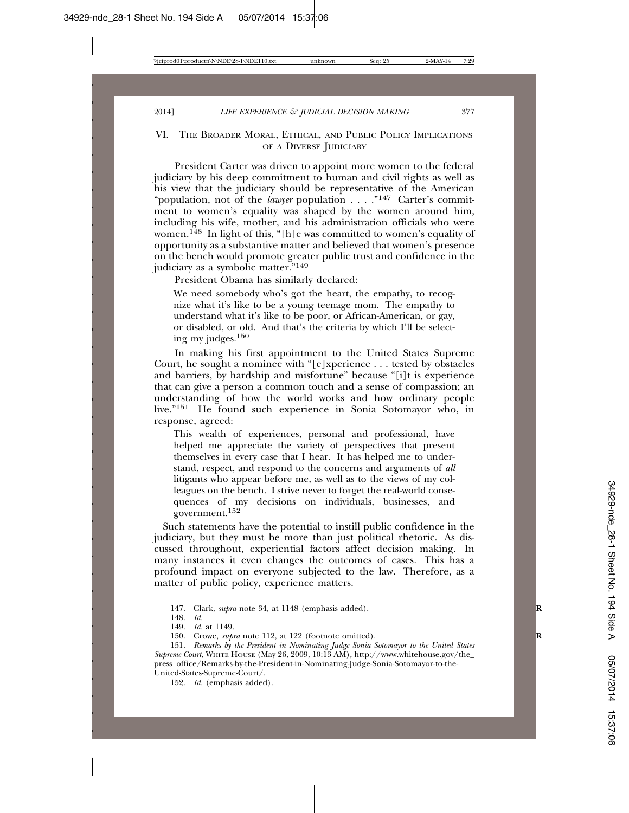#### VI. THE BROADER MORAL, ETHICAL, AND PUBLIC POLICY IMPLICATIONS OF A DIVERSE JUDICIARY

President Carter was driven to appoint more women to the federal judiciary by his deep commitment to human and civil rights as well as his view that the judiciary should be representative of the American "population, not of the *lawyer* population . . . . "<sup>147</sup> Carter's commitment to women's equality was shaped by the women around him, including his wife, mother, and his administration officials who were women.<sup>148</sup> In light of this, "[h]e was committed to women's equality of opportunity as a substantive matter and believed that women's presence on the bench would promote greater public trust and confidence in the judiciary as a symbolic matter."149

President Obama has similarly declared:

We need somebody who's got the heart, the empathy, to recognize what it's like to be a young teenage mom. The empathy to understand what it's like to be poor, or African-American, or gay, or disabled, or old. And that's the criteria by which I'll be selecting my judges.150

In making his first appointment to the United States Supreme Court, he sought a nominee with "[e]xperience . . . tested by obstacles and barriers, by hardship and misfortune" because "[i]t is experience that can give a person a common touch and a sense of compassion; an understanding of how the world works and how ordinary people live."151 He found such experience in Sonia Sotomayor who, in response, agreed:

This wealth of experiences, personal and professional, have helped me appreciate the variety of perspectives that present themselves in every case that I hear. It has helped me to understand, respect, and respond to the concerns and arguments of *all* litigants who appear before me, as well as to the views of my colleagues on the bench. I strive never to forget the real-world consequences of my decisions on individuals, businesses, and government.<sup>152</sup>

 Such statements have the potential to instill public confidence in the judiciary, but they must be more than just political rhetoric. As discussed throughout, experiential factors affect decision making. In many instances it even changes the outcomes of cases. This has a profound impact on everyone subjected to the law. Therefore, as a matter of public policy, experience matters.

<sup>147.</sup> Clark, *supra* note 34, at 1148 (emphasis added). **R**

<sup>148.</sup> *Id.*

<sup>149.</sup> *Id.* at 1149.

<sup>150.</sup> Crowe, *supra* note 112, at 122 (footnote omitted).

<sup>151.</sup> *Remarks by the President in Nominating Judge Sonia Sotomayor to the United States Supreme Court*, WHITE HOUSE (May 26, 2009, 10:13 AM), http://www.whitehouse.gov/the\_ press\_office/Remarks-by-the-President-in-Nominating-Judge-Sonia-Sotomayor-to-the-United-States-Supreme-Court/.

<sup>152.</sup> *Id.* (emphasis added).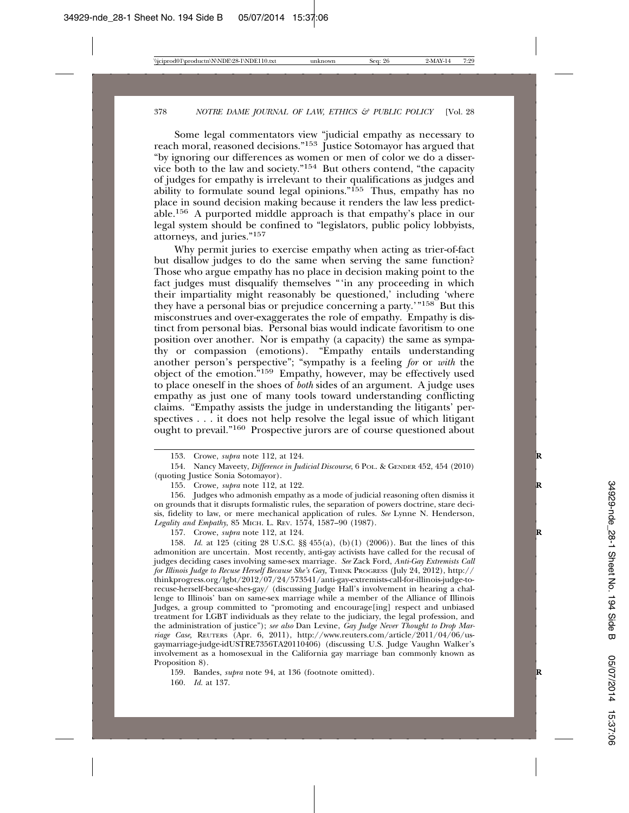Some legal commentators view "judicial empathy as necessary to reach moral, reasoned decisions."<sup>153</sup> Justice Sotomayor has argued that "by ignoring our differences as women or men of color we do a disservice both to the law and society."154 But others contend, "the capacity of judges for empathy is irrelevant to their qualifications as judges and ability to formulate sound legal opinions."155 Thus, empathy has no place in sound decision making because it renders the law less predictable.156 A purported middle approach is that empathy's place in our legal system should be confined to "legislators, public policy lobbyists, attorneys, and juries."157

Why permit juries to exercise empathy when acting as trier-of-fact but disallow judges to do the same when serving the same function? Those who argue empathy has no place in decision making point to the fact judges must disqualify themselves "'in any proceeding in which their impartiality might reasonably be questioned,' including 'where they have a personal bias or prejudice concerning a party.'"158 But this misconstrues and over-exaggerates the role of empathy. Empathy is distinct from personal bias. Personal bias would indicate favoritism to one position over another. Nor is empathy (a capacity) the same as sympathy or compassion (emotions). "Empathy entails understanding another person's perspective"; "sympathy is a feeling *for* or *with* the object of the emotion."159 Empathy, however, may be effectively used to place oneself in the shoes of *both* sides of an argument. A judge uses empathy as just one of many tools toward understanding conflicting claims. "Empathy assists the judge in understanding the litigants' perspectives . . . it does not help resolve the legal issue of which litigant ought to prevail."160 Prospective jurors are of course questioned about

156. Judges who admonish empathy as a mode of judicial reasoning often dismiss it on grounds that it disrupts formalistic rules, the separation of powers doctrine, stare decisis, fidelity to law, or mere mechanical application of rules. *See* Lynne N. Henderson, *Legality and Empathy*, 85 MICH. L. REV. 1574, 1587–90 (1987).

157. Crowe, *supra* note 112, at 124. **R**

158. *Id.* at 125 (citing 28 U.S.C. §§ 455(a), (b)(1) (2006)). But the lines of this admonition are uncertain. Most recently, anti-gay activists have called for the recusal of judges deciding cases involving same-sex marriage. *See* Zack Ford, *Anti-Gay Extremists Call for Illinois Judge to Recuse Herself Because She's Gay,* THINK PROGRESS (July 24, 2012), http:// thinkprogress.org/lgbt/2012/07/24/573541/anti-gay-extremists-call-for-illinois-judge-torecuse-herself-because-shes-gay/ (discussing Judge Hall's involvement in hearing a challenge to Illinois' ban on same-sex marriage while a member of the Alliance of Illinois Judges, a group committed to "promoting and encourage[ing] respect and unbiased treatment for LGBT individuals as they relate to the judiciary, the legal profession, and the administration of justice"); *see also* Dan Levine, *Gay Judge Never Thought to Drop Marriage Case,* REUTERS (Apr. 6, 2011), http://www.reuters.com/article/2011/04/06/usgaymarriage-judge-idUSTRE7356TA20110406) (discussing U.S. Judge Vaughn Walker's involvement as a homosexual in the California gay marriage ban commonly known as Proposition 8).

159. Bandes, *supra* note 94, at 136 (footnote omitted). **R**

160. *Id.* at 137.

<sup>153.</sup> Crowe, *supra* note 112, at 124. **R**

<sup>154.</sup> Nancy Maveety, *Difference in Judicial Discourse*, 6 POL. & GENDER 452, 454 (2010) (quoting Justice Sonia Sotomayor).

<sup>155.</sup> Crowe*, supra* note 112, at 122. **R**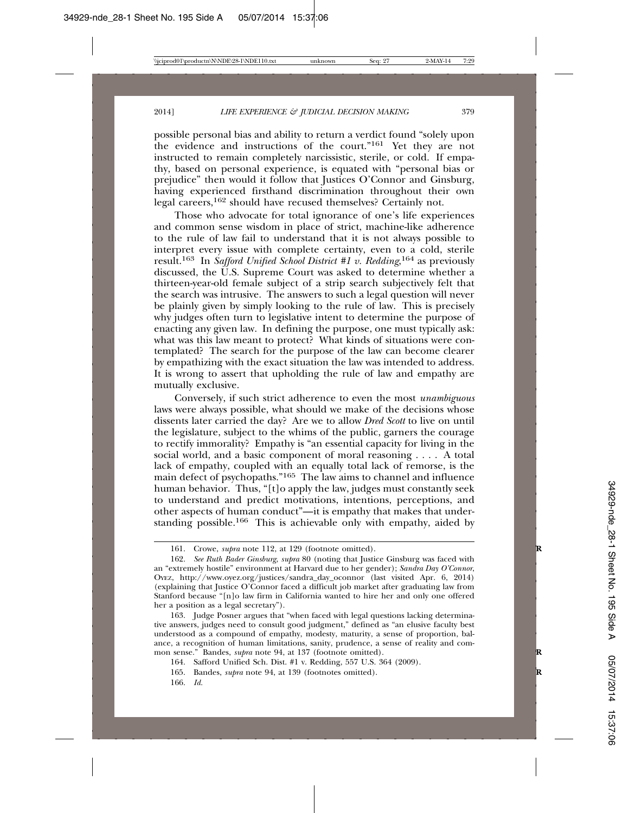possible personal bias and ability to return a verdict found "solely upon the evidence and instructions of the court."<sup>161</sup> Yet they are not instructed to remain completely narcissistic, sterile, or cold. If empathy, based on personal experience, is equated with "personal bias or prejudice" then would it follow that Justices O'Connor and Ginsburg, having experienced firsthand discrimination throughout their own legal careers,162 should have recused themselves? Certainly not.

Those who advocate for total ignorance of one's life experiences and common sense wisdom in place of strict, machine-like adherence to the rule of law fail to understand that it is not always possible to interpret every issue with complete certainty, even to a cold, sterile result.163 In *Safford Unified School District #1 v. Redding*, 164 as previously discussed, the U.S. Supreme Court was asked to determine whether a thirteen-year-old female subject of a strip search subjectively felt that the search was intrusive. The answers to such a legal question will never be plainly given by simply looking to the rule of law. This is precisely why judges often turn to legislative intent to determine the purpose of enacting any given law. In defining the purpose, one must typically ask: what was this law meant to protect? What kinds of situations were contemplated? The search for the purpose of the law can become clearer by empathizing with the exact situation the law was intended to address. It is wrong to assert that upholding the rule of law and empathy are mutually exclusive.

Conversely, if such strict adherence to even the most *unambiguous* laws were always possible, what should we make of the decisions whose dissents later carried the day? Are we to allow *Dred Scott* to live on until the legislature, subject to the whims of the public, garners the courage to rectify immorality? Empathy is "an essential capacity for living in the social world, and a basic component of moral reasoning . . . . A total lack of empathy, coupled with an equally total lack of remorse, is the main defect of psychopaths."165 The law aims to channel and influence human behavior. Thus, "[t]o apply the law, judges must constantly seek to understand and predict motivations, intentions, perceptions, and other aspects of human conduct"—it is empathy that makes that understanding possible.<sup>166</sup> This is achievable only with empathy, aided by

<sup>161.</sup> Crowe, *supra* note 112, at 129 (footnote omitted).

<sup>162.</sup> *See Ruth Bader Ginsburg*, *supra* 80 (noting that Justice Ginsburg was faced with an "extremely hostile" environment at Harvard due to her gender); *Sandra Day O'Connor*, OYEZ, http://www.oyez.org/justices/sandra\_day\_oconnor (last visited Apr. 6, 2014) (explaining that Justice O'Connor faced a difficult job market after graduating law from Stanford because "[n]o law firm in California wanted to hire her and only one offered her a position as a legal secretary").

<sup>163.</sup> Judge Posner argues that "when faced with legal questions lacking determinative answers, judges need to consult good judgment," defined as "an elusive faculty best understood as a compound of empathy, modesty, maturity, a sense of proportion, balance, a recognition of human limitations, sanity, prudence, a sense of reality and common sense." Bandes, *supra* note 94, at 137 (footnote omitted).

<sup>164.</sup> Safford Unified Sch. Dist. #1 v. Redding, 557 U.S. 364 (2009).

<sup>165.</sup> Bandes, *supra* note 94, at 139 (footnotes omitted). **R**

<sup>166.</sup> *Id.*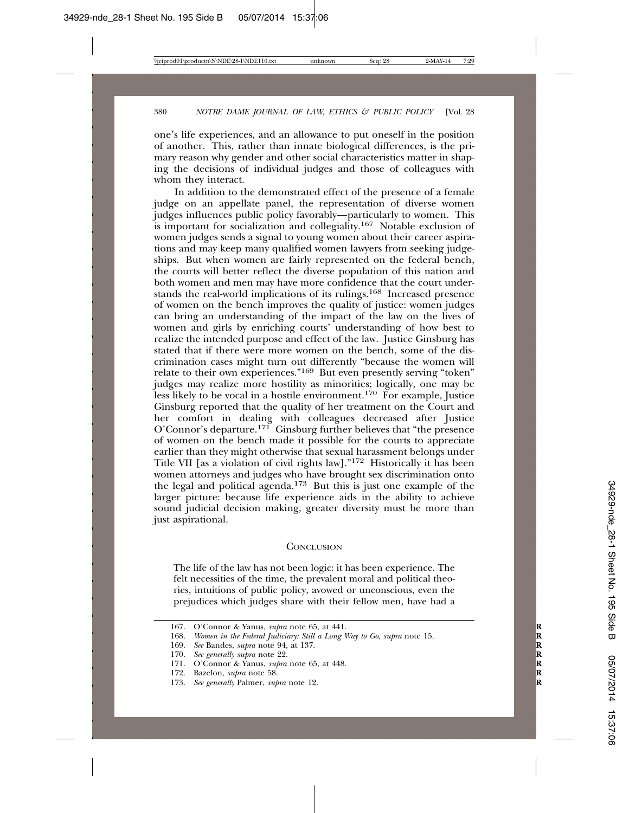one's life experiences, and an allowance to put oneself in the position of another. This, rather than innate biological differences, is the primary reason why gender and other social characteristics matter in shaping the decisions of individual judges and those of colleagues with whom they interact.

In addition to the demonstrated effect of the presence of a female judge on an appellate panel, the representation of diverse women judges influences public policy favorably—particularly to women. This is important for socialization and collegiality.167 Notable exclusion of women judges sends a signal to young women about their career aspirations and may keep many qualified women lawyers from seeking judgeships. But when women are fairly represented on the federal bench, the courts will better reflect the diverse population of this nation and both women and men may have more confidence that the court understands the real-world implications of its rulings.168 Increased presence of women on the bench improves the quality of justice: women judges can bring an understanding of the impact of the law on the lives of women and girls by enriching courts' understanding of how best to realize the intended purpose and effect of the law. Justice Ginsburg has stated that if there were more women on the bench, some of the discrimination cases might turn out differently "because the women will relate to their own experiences."169 But even presently serving "token" judges may realize more hostility as minorities; logically, one may be less likely to be vocal in a hostile environment.170 For example, Justice Ginsburg reported that the quality of her treatment on the Court and her comfort in dealing with colleagues decreased after Justice O'Connor's departure.<sup>171</sup> Ginsburg further believes that "the presence of women on the bench made it possible for the courts to appreciate earlier than they might otherwise that sexual harassment belongs under Title VII [as a violation of civil rights law]."172 Historically it has been women attorneys and judges who have brought sex discrimination onto the legal and political agenda.173 But this is just one example of the larger picture: because life experience aids in the ability to achieve sound judicial decision making, greater diversity must be more than just aspirational.

#### **CONCLUSION**

The life of the law has not been logic: it has been experience. The felt necessities of the time, the prevalent moral and political theories, intuitions of public policy, avowed or unconscious, even the prejudices which judges share with their fellow men, have had a

<sup>167.</sup> O'Connor & Yanus, *supra* note 65, at 441. **R**

<sup>168.</sup> *Women in the Federal Judiciary: Still a Long Way to Go*, *supra* note 15. **R**

<sup>169.</sup> *See* Bandes, *supra* note 94, at 137. **R**

<sup>170.</sup> *See generally supra* note 22. **R**

<sup>171.</sup> O'Connor & Yanus, *supra* note 65, at 448. **R**

<sup>172.</sup> Bazelon, *supra* note 58. **R**

<sup>173.</sup> *See generally* Palmer, *supra* note 12. **R**